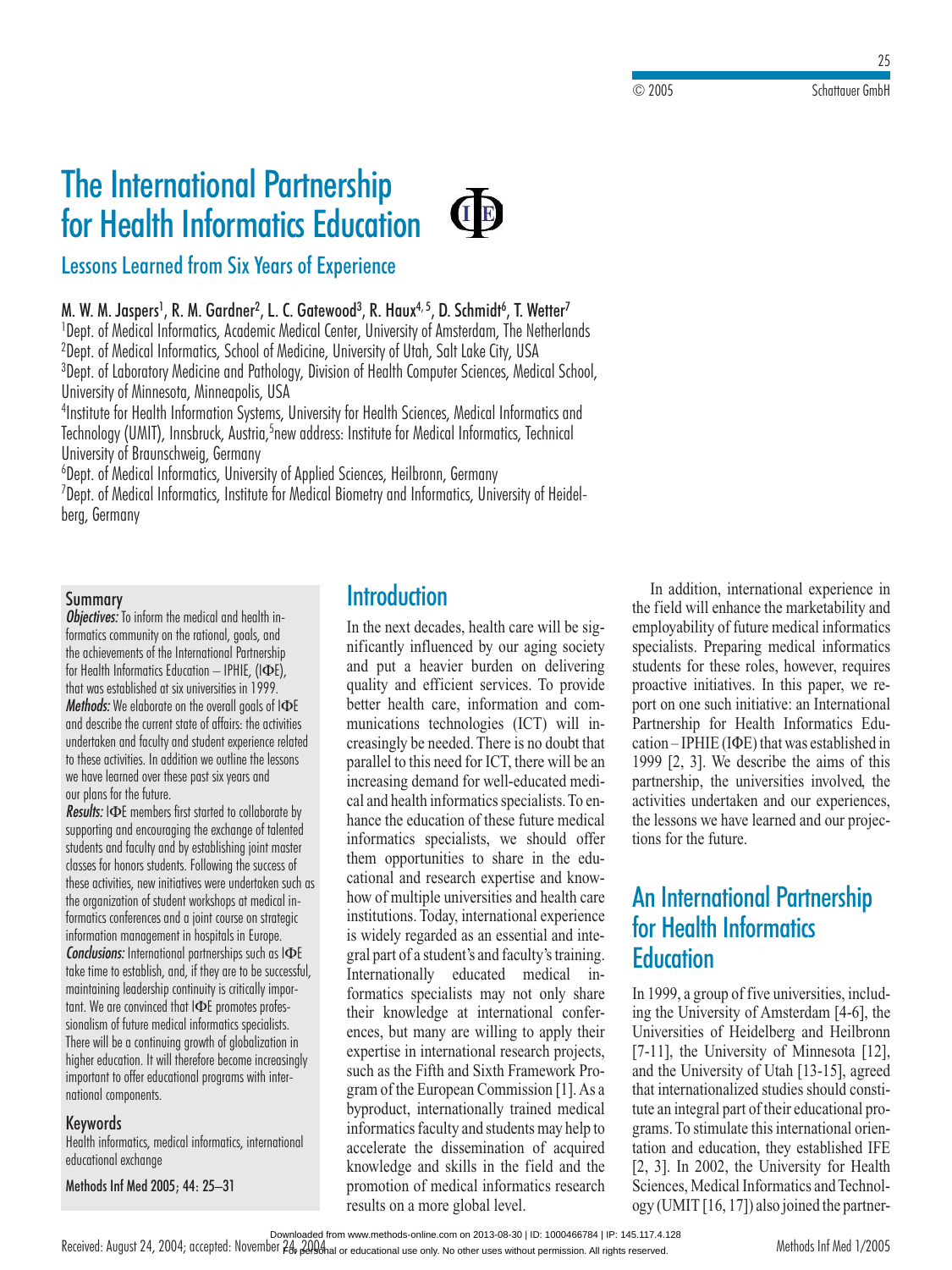# **The International Partnership<br>For Health Informatics Education**<br>Lessons Learned from Six Years of Experience **M. Health Intornalies Education**  $\mathbf{r}$

#### **SIGRIFIC<br>SSSONS Learn<br>W. M. Jaspers<sup>1</sup>**  $V_{2}$  and  $\mathcal{L}$  Financi 1perons Logi Educional <mark>Central</mark>

, L. C. OUIEWOOU', N. HUUX  $\prime$  , D. SCIIIIIIUI , I. WEITET  $\overline{\phantom{0}}$ Ined from Six Years of Experience<br>s<sup>1</sup>, R. M. Gardner<sup>2</sup>, L. C. Gatewood<sup>3</sup>, R. Haux<sup>4, 5</sup>, D. Schmidt<sup>6</sup>, T. Wetter<sup>7</sup><br>Informatics. Academic Medical Center. University of Amsterdam. The Netherlands 2ייִ M. W. M. Jaspers', K. I

Dept. of Informatical Information Controller Level Terms<br>Informatics, Academic Medical Center, University of Amsterdam, The Net<br>Informatics, School of Medicine, University of Utah, Salt Lake City, USA <mark>.<br>Dept. of Medical Informatics, Academic Medical Center, University of Amsterdam, The Netherlands</mark><br>Dept. of Medical Informatics, School of Medicine, University of Utah, Salt Lake City, USA<br>Dept. of Laboratory Medicine and **M. Gardner-, L. C**<br>Latics, Academic M<br>Latics, School of Me<br>dicine and Patholog<br>Minneapolis. USA -Dept. of Medical Informatics, School of Medicine, University o<br>... Medical Informatics, Academic Medical Center, University of Amsterdam, The Netherland<br>Medical Informatics, School of Medicine, University of Utah, Salt Lake City, USA<br>Laboratory Medicine and Pathology, Division of Health C ledical Informatics, School of Medicine, University of Utah, Salf Lake City, USA<br>aboratory Medicine and Pathology, Division of Health Computer Sciences, Medical Sch<br>of Minnesota, Minneapolis, USA<br>or Health Information Syst <sup>v</sup>Dept. of Laboratory Medicii University of Minnesota, Minneapolis, USA

ne and Pa<br>nneapolis<br>ution Syst<br>ck, Austrii<br>Germanv nesota, Minneapolis, USA<br>Ith Information Systems, University for Health Sciences, Medical<br>I), Innsbruck, Austria,<sup>5</sup>new address: Institute for Medical Informa<br>Inschweig, Germany<br>Informatics. University of Applied Sciences.  $\overline{1}$ Institute for Hea Ith Information Systems, University for Health Sciences, Medical Informatics and<br>I), Innsbruck, Austria,<sup>5</sup>new address: Institute for Medical Informatics, Technical<br>Informatics, University of Applied Sciences, Heilbronn, G lechr

Dept. of Medical Informatics, University of Applied Sciences, Heilbronn,<br>Dept. of Medical Informatics. Institute for Medical Biometry and Inform ology (U*l*<br>ersity of B<br>t. of Medi<br>t. of Medi<br>Germanv berg, Germany

### Summary

*Objectives:* To inform the medical and health in**ary**<br>es: To inform the medical and health in<br>community on the rational, goals, and mmary<br>**jectives:** To inform the medical and health in-<br>matics community on the rational, goals, and<br>achievements of the International Partnership *Objectives:* To inform the medical and health informatics community on the rational, goals, and the achievements of the International Partnership for Health Informatics Education – IPHIE, (IФE). יש<br>י ecrives. To mioni me meation and neurin in<br>actics community on the rational, goals, and<br>achievements of the International Partnershi<br>Health Informatics Education — IPHIE, (IФE<br>was established at six universities in 1999. *Methods: Community on the fantomal, goals, and*<br>the achievements of the International Partnership<br>for Health Informatics Education — IPHIE, (ΙΦΕ),<br>that was established at six universities in 1999.<br>*Methods:* We elaborate rie achieven<br>Ing achieven terms of the international cruthership<br>formatics Education — IPHIE, (IФE),<br>phlished at six universities in 1999.<br>e elaborate on the overall goals of IФE<br>the current state of affairs: the activities ioi neuiiii i<br>J momunics cuotation — if the relationship.<br>toblished at six universities in 1999.<br>We elaborate on the overall goals of I $\Phi$ E<br>e the current state of affairs: the activities<br>and faculty and student experience related that was established at six universities in 1999. these actionship of the overall goals of IDE<br>theods: We elaborate on the overall goals of IDE<br>d describe the current state of affairs: the activitie:<br>dertaken and faculty and student experience relat<br>these activities. In a we<br>' haves, we encounte on the overall goals of<br>describe the current state of affairs: the ad<br>dertaken and faculty and student experience<br>these activities. In addition we outline the l<br>have learned over these past six vears and and describe the current state of affairs: the activities<br>undertaken and faculty and student experience related rescribe the corient<br>lertaken and faculty<br>hese activities. In ad<br>have learned over th<br>plans for the future. *Results:* I consider the distribution we outline the lessons<br>*Results:* IPE members first started to collaborate by<br>*Results:* IΦE members first started to collaborate by io iliese ud<br>L to mese activities, in duatition we outlite the ressons<br>we have learned over these past six years and<br>our plans for the future.<br>**Results:** IФE members first started to collaborate by<br>supporting and encourgaing the exchange we have learned over these past six vears and our plans for the future.

we nuve learned over mese pust six years and<br>our plans for the future.<br>**Results: I**GE members first started to collaborate by<br>supporting and encouraging the exchange of talented<br>students and faculty and by establishing ioi for homorset instructually students.<br>For the members first started to collaborate b<br>ting and encouraging the exchange of talente<br>to thanors students. Following the success of<br>for honors students. Following the success of nembers hist started to conduorate by<br>encouraging the exchange of talented<br>culty and by establishing joint master<br>prison students. Following the success of<br>new initiatives were undertaken such as poring and encoordging me exchange or idented<br>dents and faculty and by establishing joint master<br>sses for honors students. Following the success of<br>se activities, new initiatives were undertaken such<br>organization of studen formaticsand racury and by establishing joint master<br>in knots students. Following the success of<br>ivities, new initiatives were undertaken suclization of student workshops at medical in-<br>conferences and a joint course on strategic ا اان ا Clusses<br>بنس<del>ند</del> و these activities, new initiatives were undertaken such as<br>the organization of student workshops at medical in-<br>formatics conferences and a joint course on strategic *Conclusions:* Internations: Internations: International partnerships such as Internations: Internations: International partnerships such as I $\Phi$ E the organ<br>framentin the organization of stouent workshops at ineution informatics conferences and a joint course on strategic<br>information management in hospitals in Europe.<br>**Conclusions:** International partnerships such as I**O**E<br>take time to maintaines comerences d<br>Iomnunes comerences d continuity in the spiral stategies<br>int in hospitals in Europe.<br>In partnerships such as  $I\Phi$ <br>and, if they are to be success:<br>continuity is critically impor- $\frac{1}{2}$ We are convinced that Indianapolis in Europe.<br>We are to establish, and, if they are to be success<br>training leadership continuity is critically impo<br>We are convinced that IФE promotes profes-The future mediation of the stablish, and, if they are to be successing leadership continuity is critically imported that  $1 \Phi$ E promotes profes-<br>of future medical informatics specialists. Tuke i where to establish, and, it mey die to be successitation<br>to a convinced that IQE promotes profes-<br>lism of future medical informatics specialists.<br>will be a continuing arowth of alobalization in mumi<br>, , , mannuming readership commony is crincary important. We are convinced that IФE promotes professionalism of future medical informatics specialists.<br>There will be a continuing growth of globalization in<br>hiaher education. It w  $t$ ant. We are convinced that  $I\Phi E$  promotes profese medical informatics specialists.<br>
e medical informatics specialists.<br>
It will therefore become increasin<br>
educational programs with intersionalism of future medical informatics specialists. in or rorore my<br>Il be a contin<br>ducation. It w<br>at to offer edu<br>components. important to offer educational programs with international components.

### Keywords

mponents.<br>**s**<br>matics, m<br>exchange r**ds**<br>formatics, medical informatic<br>Inf Med 2005: 44: 25–31

Methods Inf Med 2005; 44: 25-31

## **Introduction**

**the next decades, health care will be sig-Introduction**<br>In the next decades, health care will be sig-<br>nificantly influenced by our aging society ext decades, health care will be sig-<br>y influenced by our aging society<br>a heavier burden on delivering In the next decades, health care will be significantly influenced by our aging society<br>and put a heavier burden on delivering<br>quality and efficient services. To provide and put a heavier burde ntly influenced by our aging society<br>but a heavier burden on delivering<br>y and efficient services. To provide<br>health care, information and comm on delivering<br>ices. To provide<br>nation and com-<br>(ICT) will inquality and efficient service better health care, information and communications technologies (ICT) will inthe care, information and com-<br>tions technologies (ICT) will in-<br>gly be needed. There is no doubt that<br>to this need for ICT, there will be an  $\alpha$  increasingly be needed. There is no doubt that parallel to this need for ICT, there will be an increasing demand for well-educated medi- $\frac{1}{2}$  parallel to asingly be needed. There is no doubt that<br>allel to this need for ICT, there will be an<br>reasing demand for well-educated medi-<br>and health informatics specialists. To enparamet to this heed for text, there will be all<br>increasing demand for well-educated medi-<br>cal and health informatics specialists. To en-<br>hance the education of these future medical To en-<br>To en-<br>edical<br>offer cal and health informatics specialists. To enthe specialists. For the of these future medical<br>lists, we should offer<br>to share in the eduhance the education of these future medical<br>informatics specialists, we should offer<br>them opportunities to share in the edu-<br>cational and research expertise and knowinformatics specialists, we e should offer<br>re in the edu-<br>tise and know-<br>and health care them opportunities to share in the edu-Figure in the call<br>the expertise and know-<br>iversities and health care<br>international experience how of multiple universities and health care itional and research expertise and know-<br>by of multiple universities and health care<br>stitutions. Today, international experience<br>widely regarded as an essential and intehow of multiple universities and health care<br>institutions. Today, international experience<br>is widely regarded as an essential and inte-<br>gral part of a student's and faculty's training. Institutions. Four, international experience<br>is widely regarded as an essential and inte-<br>gral part of a student's and faculty's training.<br>Internationally educated medical ingral part of a student's and faculty's training. Fractionally educated medical in-<br>formatics specialists may not only share<br>their knowledge at international conferencertationally calculated medi-<br>formatics specialists may not on their knowledge at international conferry share<br>| confer-<br>| projects. their knowledge at international conferences, but many are willing to apply their<br>expertise in international research projects,<br>such as the Fifth and Sixth Framework Proexpertise in international research projects,<br>expertise in international research projects,<br>such as the Fifth and Sixth Framework Pro-<br>gram of the European Commission [1]. As a  $\frac{1}{2}$  such as the Fifth and  $\frac{1}{2}$ in international research projects,<br>Fifth and Sixth Framework Pro-<br>European Commission [1]. As a<br>internationally trained medical d Sixth Framework Pro-<br>an Commission [1]. As a<br>tionally trained medical<br>and students may help to gram of the Eu byproduct, internationally trained medical informatics faculty and students may help to internationally trained medical<br>sfaculty and students may help to<br>the dissemination of acquired<br>and skills in the field and the informatics faculty and students may help to<br>accelerate the dissemination of acquired<br>knowledge and skills in the field and the<br>promotion of medical informatics research knowledge and skills in the field and the promotion of medical informatics research<br>results on a more global level.

 addition, international experience in In addition, international experience in field will enhance the marketability and In addition, international experience in<br>the field will enhance the marketability and<br>employability of future medical informatics the marketability and<br>the marketability and<br>e medical informatics employability of futures. the field will enhance the marketability and<br>employability of future medical informatics<br>specialists. Preparing medical informatics<br>students for these roles, however, requires Preparing medical informaties<br>Preparing medical informatics<br>itiatives. In this paper, we re-<br>such initiative: an International proactive initiatives. In this paper, we rer these roles, however, requires<br>initiatives. In this paper, we re-<br>such initiative: an International<br>for Health Informatics Eduproactive initiatives. In this paper, we re-<br>port on one such initiative: an International<br>Partnership for Health Informatics Edu-<br>cation – IPHIE (IΦE) that was established in Partnership for Health Informatics Eduership for Health Informatics Edu-<br>n-IPHIE (IФE) that was established in<br>[2, 3]. We describe the aims of this Partnership for Health Informatics Education – IPHIE (IФE) that was established in<br>1999 [2, 3]. We describe the aims of this<br>partnership, the universities involved, the cation – IPHIE (I $\Phi$ E) that was established in<br>cribe the aims of this<br>versities involved, the<br>and our experiences. 1999  $[2, 3]$ . We describe the aims of this partnership, the universities involved, the activities undertaken and our experiences, the lessons we have learned and our projecpartnership, the univer the future.<br>It is we have<br>the future. rsities involved,<br>nd our experienc<br>rned and our proj<br>**Partnership** acu<br>the 1 tions for the future.

# Michael and Carlissons we have learned and<br>s for the future.<br>**International Party**<br>**Health Informatics** InEducation<br>In 1999, a group of five universities, includ-<u>r</u>

**THE 1999, a group of five universities, includ-**<br>the University of Amsterdam [4-6], the<br>iversities of Heidelberg and Heilbronn m 1999, a group of two directorships, metal<br>ing the University of Amsterdam [4-6], the<br>Universities of Heidelberg and Heilbronn<br>[7-11], the University of Minnesota [12]. Injurestities of Heidelberg and Heilbronn<br>
[7-11], the University of Minnesota [12],<br>
and the University of Utah [13-15], agreed [7-11], the University of Minnesota  $[12]$ , and the University of Utah [13-15], agreed  $\frac{1}{2}$ , the University of Utah [13-15], agreed<br>the University of Utah [13-15], agreed<br>internationalized studies should consti-<br>an integral part of their educational pro- $\frac{1}{2}$  and the University of Udah  $\frac{1}{2}$ -15], agreed<br>that internationalized studies should constitute an integral part of their educational pro-<br>grams. To stimulate this international orienthat internationalized studies should constitute an integral part of their educational programs. To stimulate this international orientation and education, they established IFE grams. To stimulate this international orien-Equal part of their educational pro-<br>2015. In Stimulate this international orien-<br>31. In 2002, the University for Health grams. To stimulate this international orientation and education, they established IFE<br>[2, 3]. In 2002, the University for Health<br>Sciences. Medical Informatics and Technol- $\frac{1}{2}$  (ation and  $\frac{1}{2}$ [2, 3]. In 2002, the University for Health<br>Sciences, Medical Informatics and Technol-<br>ogy (UMIT [16, 17]) also joined the partner-

Downloaded from www.methods-online.com on 2013-08-30 | ID: 1000466784 | IP: 145.117.4.128

Received: August 24, 2004; accepted: November 24, 2008 hal or educational use only. No other uses without permission. All rights reserved.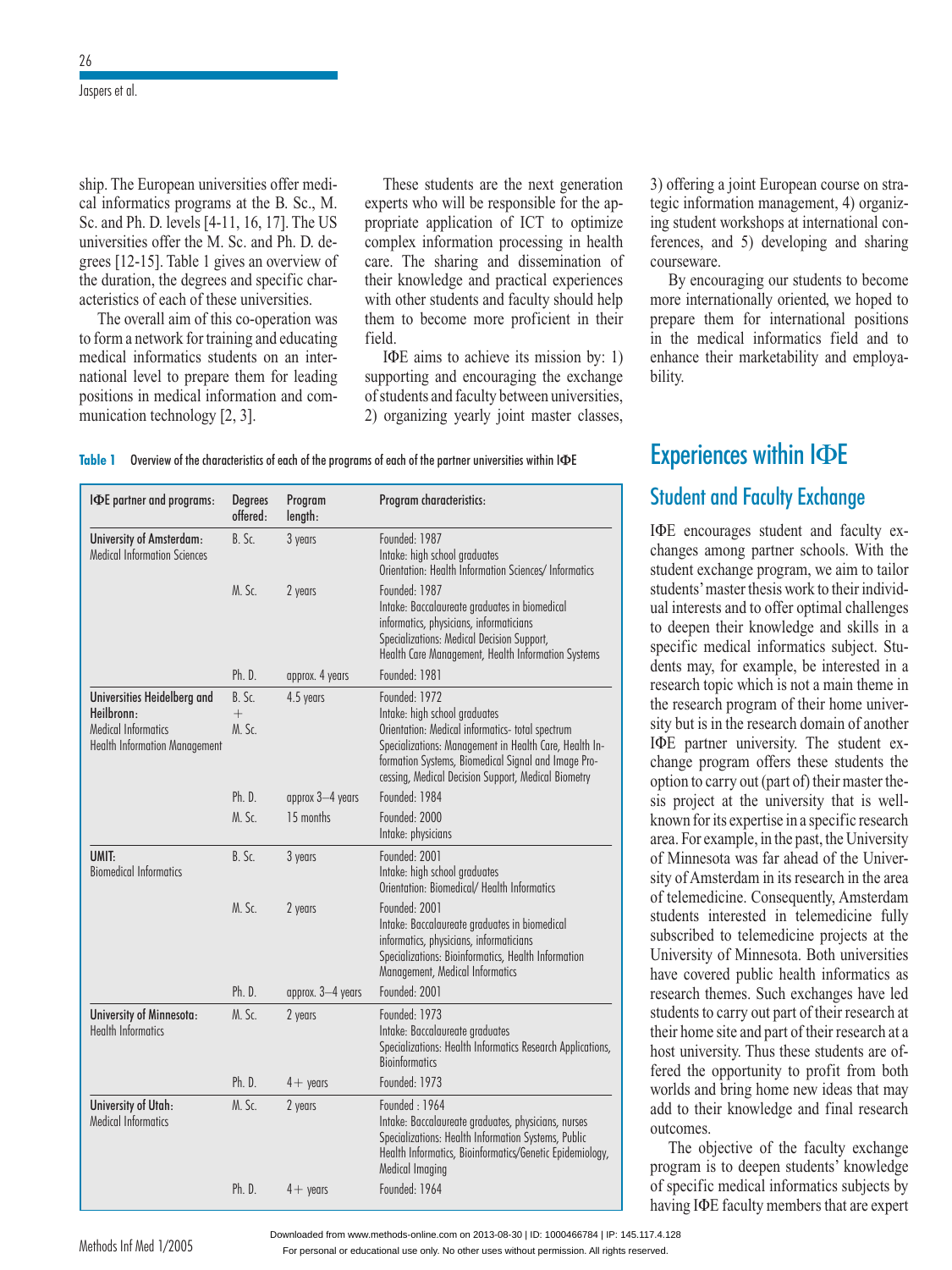Jaspers et al.

 The European universities offer medip. The European universities offer medi-<br>informatics programs at the B. Sc., M. ship. The European universities offer medical informatics programs at the B. Sc., M. Sc. and Ph. D. levels [4-11, 16, 17]. The US cal informatics programs at the B. Sc., M. propean universities offer medities programs at the B. Sc., M.<br>D. levels [4-11, 16, 17]. The US offer the M. Sc. and Ph. D. decal informatics programs at the B. Sc., M.<br>Sc. and Ph. D. levels [4-11, 16, 17]. The US<br>universities offer the M. Sc. and Ph. D. de-<br>grees [12-15]. Table 1 gives an overview of the and  $\overline{t}$  in  $\overline{t}$ . External properties of fermion  $\overline{t}$ and Ph. D. levels  $[4-11, 16, 17]$ . The US<br>versities offer the M. Sc. and Ph. D. de-<br>es  $[12-15]$ . Table 1 gives an overview of<br>duration, the degrees and specific charthe M. Sc. and Ph. D.<br>le 1 gives an overviev<br>legrees and specific c<br>of these universities. Table 1 gives an overview of<br>the degrees and specific char-<br>ach of these universities.<br>aim of this co-operation was acteristics of each of these universities. form a network for these universities.<br>The overall aim of this co-operation was<br>form a network for training and educating

acteristics of each of these universities.<br>The overall aim of this co-operation was<br>to form a network for training and educating<br>medical informatics students on an inter-The overal I aim of this co-operation was<br>for training and educating<br>matics students on an inter-<br>to prepare them for leading to form a network for training and educating<br>medical informatics students on an inter-<br>national level to prepare them for leading<br>positions in medical information and comnational level to prepare them for leading positions in medical information and communication technology [2, 3]. 1 Overview of the characteristics of each of the programs of each of the partner universities within IΦE<br>
1 Overview of the characteristics of each of the programs of each of the partner universities within IΦE

 students are the next generation These students are the next generation<br>experts who will be responsible for the apexperts who will be responsible for the ap-These students are<br> $\frac{1}{2}$ esponsible for the approximation<br>of ICT to optimize<br>processing in health  $\exp$ rts who will be responsible for the application of ICT to optimize<br>plex information processing in health<br>The sharing and dissemination of propriate application of ICT to optimize<br>complex information processing in health<br>care. The sharing and dissemination of<br>their knowledge and practical experiences care. The sharing and dissemination of plex information processing in health<br>The sharing and dissemination of<br>knowledge and practical experiences<br>other students and faculty should help care. The sharing and dissemination of<br>their knowledge and practical experiences<br>with other students and faculty should help<br>them to become more proficient in their with other students and faculty should help In other students and faculty should help<br>m to become more proficient in their<br>Id.<br>IΦE aims to achieve its mission by: 1)  $\frac{1}{2}$  in the subset of  $\frac{1}{2}$ ecome more proficient in their<br>ns to achieve its mission by: 1)<br>and encouraging the exchange

 $\overline{\text{tan}}$ . ms to achieve its mission by: 1)<br>and encouraging the exchange<br>and faculty between universities. ID aims to achieve its mission by: 1)<br>supporting and encouraging the exchange<br>of students and faculty between universities,<br>2) organizing vearly joint master classes.

| IDE partner and programs:                                                                                | <b>Degrees</b><br>offered:   | Program<br>length: | Program characteristics:                                                                                                                                                                                                                                                   |
|----------------------------------------------------------------------------------------------------------|------------------------------|--------------------|----------------------------------------------------------------------------------------------------------------------------------------------------------------------------------------------------------------------------------------------------------------------------|
| University of Amsterdam:<br><b>Medical Information Sciences</b>                                          | B. Sc.                       | 3 years            | Founded: 1987<br>Intake: high school graduates<br>Orientation: Health Information Sciences/ Informatics                                                                                                                                                                    |
|                                                                                                          | M. Sc.                       | 2 years            | Founded: 1987<br>Intake: Baccalaureate graduates in biomedical<br>informatics, physicians, informaticians<br>Specializations: Medical Decision Support,<br>Health Care Management, Health Information Systems                                                              |
|                                                                                                          | Ph. D.                       | approx. 4 years    | Founded: 1981                                                                                                                                                                                                                                                              |
| Universities Heidelberg and<br>Heilbronn:<br>Medical Informatics<br><b>Health Information Management</b> | $B.$ Sc.<br>$^{+}$<br>M. Sc. | 4.5 years          | Founded: 1972<br>Intake: high school graduates<br>Orientation: Medical informatics- total spectrum<br>Specializations: Management in Health Care, Health In-<br>formation Systems, Biomedical Signal and Image Pro-<br>cessing, Medical Decision Support, Medical Biometry |
|                                                                                                          | Ph. D.                       | approx 3-4 years   | Founded: 1984                                                                                                                                                                                                                                                              |
|                                                                                                          | M. Sc.                       | 15 months          | Founded: 2000<br>Intake: physicians                                                                                                                                                                                                                                        |
| UMIT:<br><b>Biomedical Informatics</b>                                                                   | B. Sc.                       | 3 years            | Founded: 2001<br>Intake: high school graduates<br>Orientation: Biomedical/ Health Informatics                                                                                                                                                                              |
|                                                                                                          | M. Sc.                       | 2 years            | Founded: 2001<br>Intake: Baccalaureate graduates in biomedical<br>informatics, physicians, informaticians<br>Specializations: Bioinformatics, Health Information<br>Management, Medical Informatics                                                                        |
|                                                                                                          | Ph. D.                       | approx. 3-4 years  | Founded 2001                                                                                                                                                                                                                                                               |
| University of Minnesota:<br><b>Health Informatics</b>                                                    | M. Sc.                       | 2 years            | Founded: 1973<br>Intake: Baccalaureate graduates<br>Specializations: Health Informatics Research Applications,<br><b>Bioinformatics</b>                                                                                                                                    |
|                                                                                                          | Ph. D.                       | $4+$ years         | Founded: 1973                                                                                                                                                                                                                                                              |
| University of Utah:<br>Medical Informatics                                                               | M. Sc.                       | 2 years            | Founded: 1964<br>Intake: Baccalaureate graduates, physicians, nurses<br>Specializations: Health Information Systems, Public<br>Health Informatics, Bioinformatics/Genetic Epidemiology,<br>Medical Imaging                                                                 |
|                                                                                                          | Ph. D.                       | $4 +$ years        | Founded: 1964                                                                                                                                                                                                                                                              |

 offering <sup>a</sup> joint European course on strafering a joint European course on stra-<br>information management, 4) organiz-3) offering a joint European course on stra-<br>tegic information management, 4) organiz-<br>ing student workshops at international con-<br>ferences. and 5) developing and sharing tegic information management, 4) organizing student workshops at international conmg student workshops at international con-<br>ferences, and 5) developing and sharing<br>courseware.<br>By encouraging our students to become and sharing<br>ts to become<br>we hoped to

prepare to be course ware.<br>By encouraging our students to become<br>more internationally oriented, we hoped to<br>prepare them for international positions  $\frac{1}{2}$  internat By encouraging our students to become<br>ore internationally oriented, we hoped to<br>epare them for international positions<br>the medical informatics field and to ionally oriented, we hoped to<br>for international positions<br>al informatics field and to<br>marketability and employain the medical<br>enhance their m bility. enhance their marketability and employability.<br>
Experiences within IDE

# **I**<br>Student and Faculty Exche<br>IOE encourages student and **Student and Faculty Exchan**

**inge**<br>faculty ex**ge**<br>culty ex-<br>With the Student exchanges student and faculty ex-<br>changes among partner schools. With the<br>student exchange program, we aim to tailor FEE choolinges student and flacing ox<br>changes among partner schools. With the<br>students' master thesis work to their individstudent exchange program, we aim to tailor student exchange program, we aim to tailor<br>students' master thesis work to their individ-<br>ual interests and to offer optimal challenges<br>to deepen their knowledge and skills in a students' master thesis work to their individ-<br>ual interests and to offer optimal challenges<br>to deepen their knowledge and skills in a<br>specific medical informatics subject. Studa merests and to oner optimal enancinges<br>to deepen their knowledge and skills in a<br>specific medical informatics subject. Stu-<br>dents may, for example, be interested in a specific medical informatics subject. Stu-In their knowledge and skills in a medical informatics subject. Stu-<br>ay, for example, be interested in a topic which is not a main theme in subject. But-<br>dents may, for example, be interested in a<br>research topic which is not a main theme in<br>the research program of their home univer-<br>sity but is in the research domain of another research topic which is not a main theme in research topic which is not a main theme in<br>the research program of their home univer-<br>sity but is in the research domain of another<br>IΦE partner university. The student exsity but is in the research domain of another exarch program of their home univer-<br>is in the research domain of another<br>artner university. The student ex-<br>program offers these students the Ship out is in the research domain of disolater<br>
IDE partner university. The student ex-<br>
change program offers these students the-<br>
option to carry out (part of) their master theer university. The student ex-<br>ogram offers these students the<br>arry out (part of) their master the-<br>at the university that is wellchange program offers these students the ) their master the-<br>ity that is well-<br>specific research option to carry out (part of) their master the-<br>sis project at the university that is well-<br>known for its expertise in a specific research<br>area. For example, in the past, the University sis project at the university that is well-<br>known for its expertise in a specific research<br>area. For example, in the past, the University<br>of Minnesota was far ahead of the Univershown for as experise in a specific research<br>area. For example, in the past, the University<br>of Minnesota was far ahead of the Univer-<br>sity of Amsterdam in its research in the area of Minnesota was f telemetrical was far ahead of the University<br>Minnesota was far ahead of the Univer-<br>y of Amsterdam in its research in the area<br>telemedicine. Consequently. Amsterdam of Minnesour was furthered of the Oniver<br>sity of Amsterdam in its research in the area<br>of telemedicine. Consequently, Amsterdam<br>students interested in telemedicine fully earch in the area<br>tly, Amsterdam<br>medicine fully<br>projects at the of telemedicine. Consequently, Amsterdam<br>students interested in telemedicine fully<br>subscribed to telemedicine projects at the<br>University of Minnesota. Both universities subscribed to telemedicine projects at the ents interested in telemedicine fully<br>cribed to telemedicine projects at the<br>ersity of Minnesota. Both universities<br>covered public health informatics as subscribed to telemedicine projects at the<br>University of Minnesota. Both universities<br>have covered public health informatics as<br>research themes. Such exchanges have led status of the metallic health informatics as<br>the covered public health informatics as<br>research themes. Such exchanges have led<br>students to carry out part of their research at the thermore university. covered public health informatics as<br>arch themes. Such exchanges have led<br>ents to carry out part of their research at<br>home site and part of their research at a the exchanges have led<br>bart of their research at<br>these students are ofstudents t of the state of the test and part of their research at a<br>ersity. Thus these students are of-<br>opportunity to profit from both their home site and part of their research at a<br>host university. Thus these students are of-<br>fered the opportunity to profit from both<br>worlds and bring home new ideas that may host univers ity. Thus these students are of-<br>pportunity to profit from both<br>bring home new ideas that may<br>knowledge and final research worlds and bring add to their knowledge and final research  $\frac{1}{2}$  $\mathbf{v}$ 

to deepen showledge and that research<br>tecomes.<br>The objective of the faculty exchange<br>ogram is to deepen students' knowledge<br>specific medical informatics subjects by program is to deepen students' knowledge of specific medical informatics subjects by<br>having IФE faculty members that are expert

For personal or educational use only. No other uses without permission. All rights reserved. Downloaded from www.methods-online.com on 2013-08-30 | ID: 1000466784 | IP: 145.117.4.128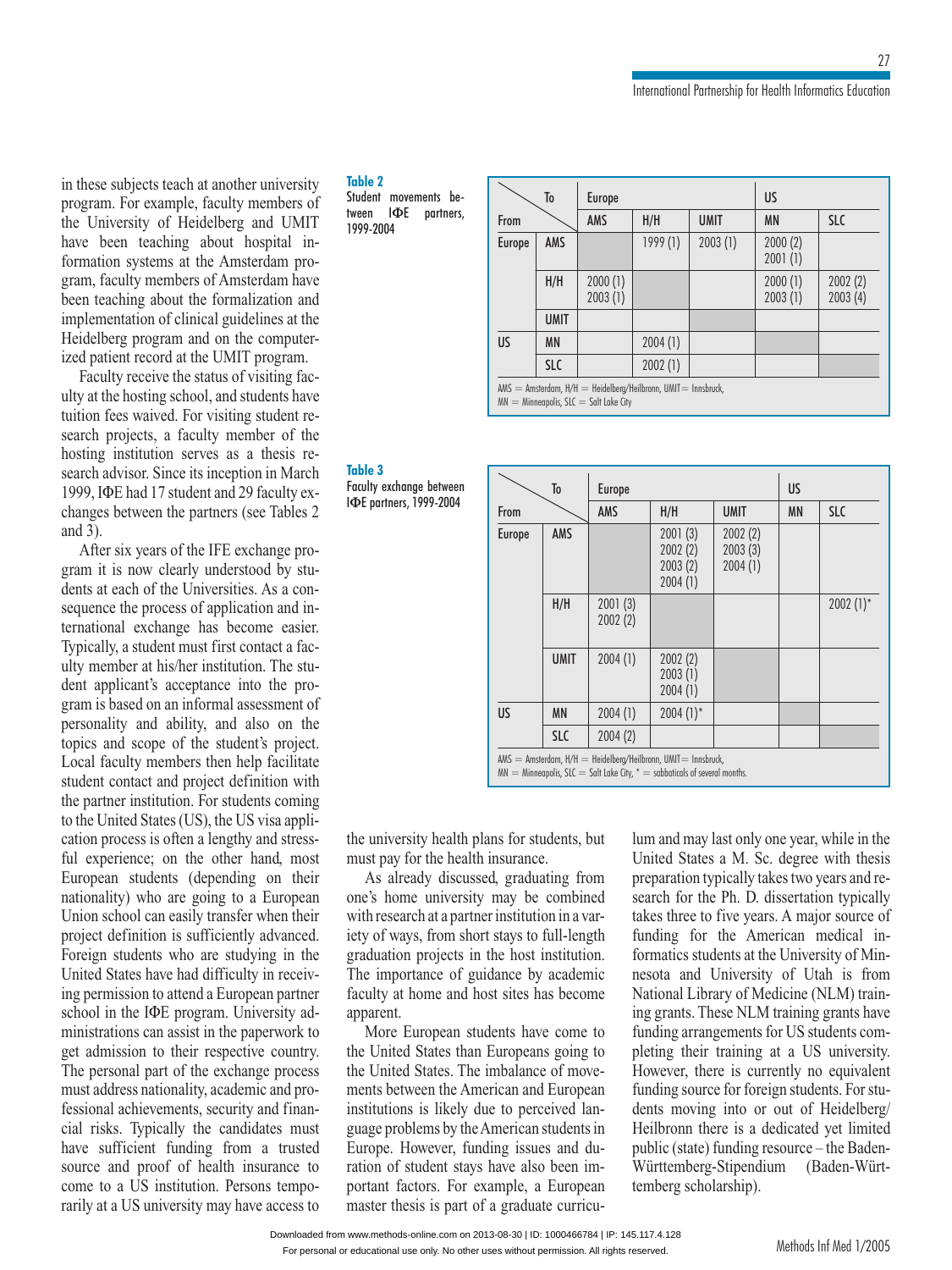these subjects teach at another university example, faculty members of<br>example, faculty members of the directory<br>the directory of the control of the control of the control of the control of the control of the control of the<br>the control of the control of the control of the control of the control of the control of the con hese subjects teach at another university<br>gram. For example, faculty members of<br>University of Heidelberg and UMIT m ur<br>... been teaching about the mixturest<br>pram. For example, faculty members of<br>University of Heidelberg and UMIT<br>been teaching about hospital inprogram. For example, faculty members of<br>the University of Heidelberg and UMIT<br>have been teaching about hospital in-<br>formation systems at the Amsterdam prothe Universit have been teaching about hospital inbeen teaching about hospital in<br>formation systems at the Amsterdam pro-<br>gram, faculty members of Amsterdam have<br>been teaching about the formalization and formation systems at the Thisterian program, faculty members of Amsterdam have<br>been teaching about the formalization and<br>implementation of clinical guidelines at the ers of Amsterdam have<br>the formalization and<br>inical guidelines at the<br>and on the computerbeen teaching about the formalization are<br>implementation of clinical guidelines at the<br>Heidelberg program and on the compute<br>ized patient record at the UMIT program. Heidelberg program and on the computer-<br>
Heidelberg program and on the computer-<br>
Faculty receive the status of visiting facized patient record at the UMIT program.

g program and on the computer-<br>the record at the UMIT program.<br>the status of visiting fac-<br>hosting school, and students have record at the UMIT program.<br>receive the status of visiting fac-<br>osting school, and students have<br>waived. For visiting student reractive search is stated of visiting factory<br>tuity at the hosting school, and students have<br>tuition fees waived. For visiting student re-<br>search projects, a faculty member of the<br>hosting institution serves as a thesis reulty receive the status of visiting fac-<br>the hosting school, and students have<br>fees waived. For visiting student re-<br>projects, a faculty member of the tuition fees waived. For visiting student research projects, a faculty member of the fees waived. For visiting student re-<br>projects, a faculty member of the<br>g institution serves as a thesis re-<br>advisor. Since its inception in March search projects, a faculty member of the<br>hosting institution serves as a thesis re-<br>search advisor. Since its inception in March<br>1999. JФE had 17 student and 29 faculty exhosting institution serves as a thesis re-<br>search advisor. Since its inception in March<br>1999, IФE had 17 student and 29 faculty ex-<br>changes between the partners (see Tables 2 search advisor. Since its inception in March 1999. IФE had 17 student and 29 faculty exad 17 student and 29 faculty ex-<br>ween the partners (see Tables 2<br>vears of the IFE exchange pro $rac{1}{2}$ it is between the partners (see Tables 2).<br>
Ther six years of the IFE exchange pro-<br>
it is now clearly understood by studina J<br>La

bath of the IFE exchange pro-<br>it is now clearly understood by stu-<br>at each of the Universities. As a con-First six years of the H E exeminge pro-<br>gram it is now clearly understood by stu-<br>dents at each of the Universities. As a con-<br>sequence the process of application and in-<br>ternational exchange has become easier. six years of the IFE exchange proson well and the Universities. As a contribution and in-Sequence the process of application. ach of the Universities. As a con-<br>the process of application and in-<br>l exchange has become easier.<br>a student must first contact a facn and in-<br>e easier.<br>act a fac-<br>The stu-Typically, a student must first contact a facapplicant exchange has become easier.<br>
cally, a student must first contact a fac-<br>
member at his/her institution. The stu-<br>
applicant's acceptance into the pro-Typically, a student must first contact a faculty member at his/her institution. The student applicant's acceptance into the program is based on an informal assessment of dent applicant's acceptance into the program is based on an informal assessment of personality and ability, and also on the topics and scope of the student's project. exerciant's acceptance into the pro-<br>and a informal assessment of<br>and ability, and also on the gram is based on an informal assessment of personality and ability, and also on the is based on an informal assessment of<br>hality and ability, and also on the<br>and scope of the student's project.<br>faculty members then help facilitate persone<br>taniaa lity and ability, and also on the<br>and scope of the student's project.<br>aculty members then help facilitate<br>contact and project definition with topics and scope of the student's project.<br>Local faculty members then help facilitate<br>student contact and project definition with<br>the partner institution. For students coming student contact and project definition with ocal faculty members then help facilitate<br>adent contact and project definition with<br>e partner institution. For students coming<br>the United States (US), the US visa applistudent contact and project definition with<br>the partner institution. For students coming<br>to the United States (US), the US visa appli-<br>cation process is often a lengthy and stressthe partner institution. For students coming<br>to the United States (US), the US visa appli-<br>cation process is often a lengthy and stress-<br>ful experience: on the other hand, most cation process is often a lengthy and stressstudents (GB), the GB visit approcess is often a lengthy and stress-<br>ience; on the other hand, most<br>students (depending on their ration procession exercises is often a lengthy and stress-<br>nce; on the other hand, most<br>students (depending on their<br>who are going to a Euronean ful experience; on the other hand, most<br>European students (depending on their<br>nationality) who are going to a European<br>Union school can easily transfer when their nationality) who are going to a European an students (depending on their<br>lity) who are going to a European<br>school can easily transfer when their<br>definition is sufficiently advanced. Union school can easily transfer when their ity) who are going to a European<br>chool can easily transfer when their<br>definition is sufficiently advanced.<br>students who are studying in the Union school can easily transfer when their<br>project definition is sufficiently advanced.<br>Foreign students who are studying in the<br>United States have had difficulty in receiv-Foreign students who are studying in the<br>United States have had difficulty in receiv-<br>ing permission to attend a European partner<br>school in the IФE program. University adpect definition is sufficiently advanced.<br>
Exempt students who are studying in the<br>
ited States have had difficulty in receiv-<br>
permission to attend a European partner **School States has**<br>in a norminister to Free had difficulty in receivatend a European partner<br>E program. University adassist in the paperwork to ing permission to attend a European partner to the IDE program. University administrations can assist in the paperwork to get admission to their respective country. FOR program. Onversity and<br>
can assist in the paperwork to<br>
n to their respective country,<br>
part of the exchange process<br>
nationality, academic and proministrations can assist in the paperwork to get admission to their respectively ve country.<br>ge process<br>ic and pro-<br>and finan-The personal part of the exchange process<br>must address nationality, academic and pro-<br>fessional achievements, security and finan-<br>cial risks. Typically the candidates must have<br>fessional ac address nationality, academic and pro-<br>onal achievements, security and finan-<br>risks. Typically the candidates must<br>sufficient funding from a trusted providing the candidates must<br>provide the candidates must<br>proof of health insurance to cial risks. Typically the candidates must<br>have sufficient funding from a trusted<br>source and proof of health insurance to<br>come to a US institution. Persons tempohave sufficient fundin source and proof of health insurance to<br>come to a US institution. Persons tempo-<br>rarily at a US university may have access to

### **2** Table 2

 movements be-**2**<br>Int movements be-<br>IΦE partners, 1999-2004

**3**

exchange between **s ||able 3<br>|-||aculty exchange between|<br>|ΦE partners, 1999-2004** IФE partners, 1999-2004

|        | To          | Europe                                    |                                                                    | US          |                    |                    |
|--------|-------------|-------------------------------------------|--------------------------------------------------------------------|-------------|--------------------|--------------------|
| From   |             | AMS                                       | H/H                                                                | <b>UMIT</b> | <b>MN</b>          | <b>SLC</b>         |
| Europe | AMS         |                                           | 1999(1)                                                            | 2003(1)     | 2000(2)<br>2001(1) |                    |
|        | H/H         | 2000(1)<br>2003(1)                        |                                                                    |             | 2000(1)<br>2003(1) | 2002(2)<br>2003(4) |
|        | <b>UMIT</b> |                                           |                                                                    |             |                    |                    |
| US     | <b>MN</b>   |                                           | 2004(1)                                                            |             |                    |                    |
|        | <b>SLC</b>  |                                           | 2002(1)                                                            |             |                    |                    |
|        |             | $MN = Minneapolis$ , SLC = Salt Lake City | $AMS =$ Amsterdam, $H/H =$ Heidelberg/Heilbronn, UMIT = Innsbruck, |             |                    |                    |

| To     |             | <b>Europe</b>      | US                                       |                               |           |              |
|--------|-------------|--------------------|------------------------------------------|-------------------------------|-----------|--------------|
| From   |             | AMS                | H/H                                      | <b>UMIT</b>                   | <b>MN</b> | <b>SLC</b>   |
| Europe | AMS         |                    | 2001(3)<br>2002(2)<br>2003(2)<br>2004(1) | 2002(2)<br>2003(3)<br>2004(1) |           |              |
|        | H/H         | 2001(3)<br>2002(2) |                                          |                               |           | $2002 (1)$ * |
|        | <b>UMIT</b> | 2004(1)            | 2002(2)<br>2003(1)<br>2004(1)            |                               |           |              |
| US     | <b>MN</b>   | 2004(1)            | $2004 (1)$ *                             |                               |           |              |
|        | <b>SLC</b>  | 2004(2)            |                                          |                               |           |              |

lum

 $\sum_{n=1}^{n}$  millengions, sec = 300 m<br>university health plans for students, but miversity health plans for studenty health insurance. university health plans for students, but<br>st pay for the health insurance.<br>As already discussed, graduating from  $\frac{1}{2}$ miversity health plans for students, but<br>pay for the health insurance.<br>s already discussed, graduating from<br>home university may be combined  $\frac{1}{4}$ 

request pay for the health insurance.<br>
In a partner institution in a var-<br>
research at a partner institution in a varone's home university may be combined As already discussed, graduating from<br>So home university may be combined<br>in research at a partner institution in a var-<br>of ways, from short stays to full-length one's home university may be combined<br>with research at a partner institution in a var-<br>iety of ways, from short stays to full-length<br>graduation projects in the host institution. with research at a partner institution in a variety of ways, from short stays to full-length<br>graduation projects in the host institution.<br>The importance of guidance by academic graduation projects in the host institution. iety of ways, from short stays to full-length The importance of guidance by academic Importance of gatalance by dealerment<br>ulty at home and host sites has become<br>parent.<br>More European students have come to faculty at home and host sites has become<br>apparent.<br>More European students have come to<br>the United States than Europeans going to apparent.<br>More European students have come to

Frament.<br>
More European students have come to<br>
United States. The imbalance of move-More European students have come to<br>the United States than Europeans going to<br>the United States. The imbalance of move-<br>ments between the American and European the United States. The imbalance of move-States than Europeans going to<br>States. The imbalance of move-<br>een the American and European<br>is likely due to perceived lanthe United States. The imbalance of move-<br>ments between the American and European<br>institutions is likely due to perceived lan-<br>guage problems by the American students in ments between the American and European<br>institutions is likely due to perceived lan-<br>guage problems by the American students in<br>Europe. However, funding issues and duinstitutions is likely due to perceived lantions is likely due to perceived lan-<br>problems by the American students in<br>e. However, funding issues and du-<br>of student stays have also been imguage problems by the American students in by the American students in<br>er, funding issues and du-<br>at stays have also been im-<br>For example, a European  $m_{\rm{min}}$ ration of student stays have also been im-<br>portant factors. For example, a European<br>master thesis is part of a graduate curricu-

and may last only one year, while in the d may last only one year, while in the States a M. Sc. degree with thesis presentations.<br>Presentations of the present the y last only one year, while in the search of the search the search the two years and re-Find and may have only one<br>United States a M. Sc. d may last only one year, while in the<br>I States a M. Sc. degree with thesis<br>ation typically takes two years and re-<br>for the Ph. D. dissertation typically degree with thesis<br>two years and re-<br>ssertation typically<br>A major source of search for the Ph. from typically takes two years and re-<br>for the Ph. D. dissertation typically<br>ree to five years. A major source of<br>for the American medical in-From the Fin. D. dissertation typicarly<br>hree to five years. A major source of<br>g for the American medical in-<br>ics students at the University of Min-<br>and University of Utah is from funding for the American medical in-Francis Students at the University of Min-<br>
nesota and University of Utah is from<br>
National Library of Medicine (NLM) train-<br>
ing grants. These NLM training grants have nesota and University of Utah is from National Library of Medicine (NLM) trainand University of Utah is from<br>1 Library of Medicine (NLM) train-<br>ts. These NLM training grants have<br>arrangements for US students com-National Library of Medicine (NLM) training grants. These NLM training grants have<br>funding arrangements for US students com-<br>pleting their training at a US university. funding arrangements for US students com-S. These NLM training grants have<br>prangements for US students com-<br>heir training at a US university.<br>there is currently no equivalent funding arrangements for US students com-<br>pleting their training at a US university.<br>However, there is currently no equivalent<br>funding source for foreign students. For stupleing their the<br>However, there g their training at a US university.<br>wer, there is currently no equivalent<br>mg source for foreign students. For stu-<br>moving into or out of Heidelberg/ is currently no equivalent<br>or foreign students. For stu-<br>nto or out of Heidelberg/<br>is a dedicated vet limited funding source dents moving into or out of Heidelberg/ Heilbronn there is a dedicated yet limited (Baden-Würt-<br>
eated yet limited<br>
urce – the Baden-<br>
(Baden-Würtpublic (state) funding<br>württemberg-Stipend<br>temberg scholarship). Methods Inf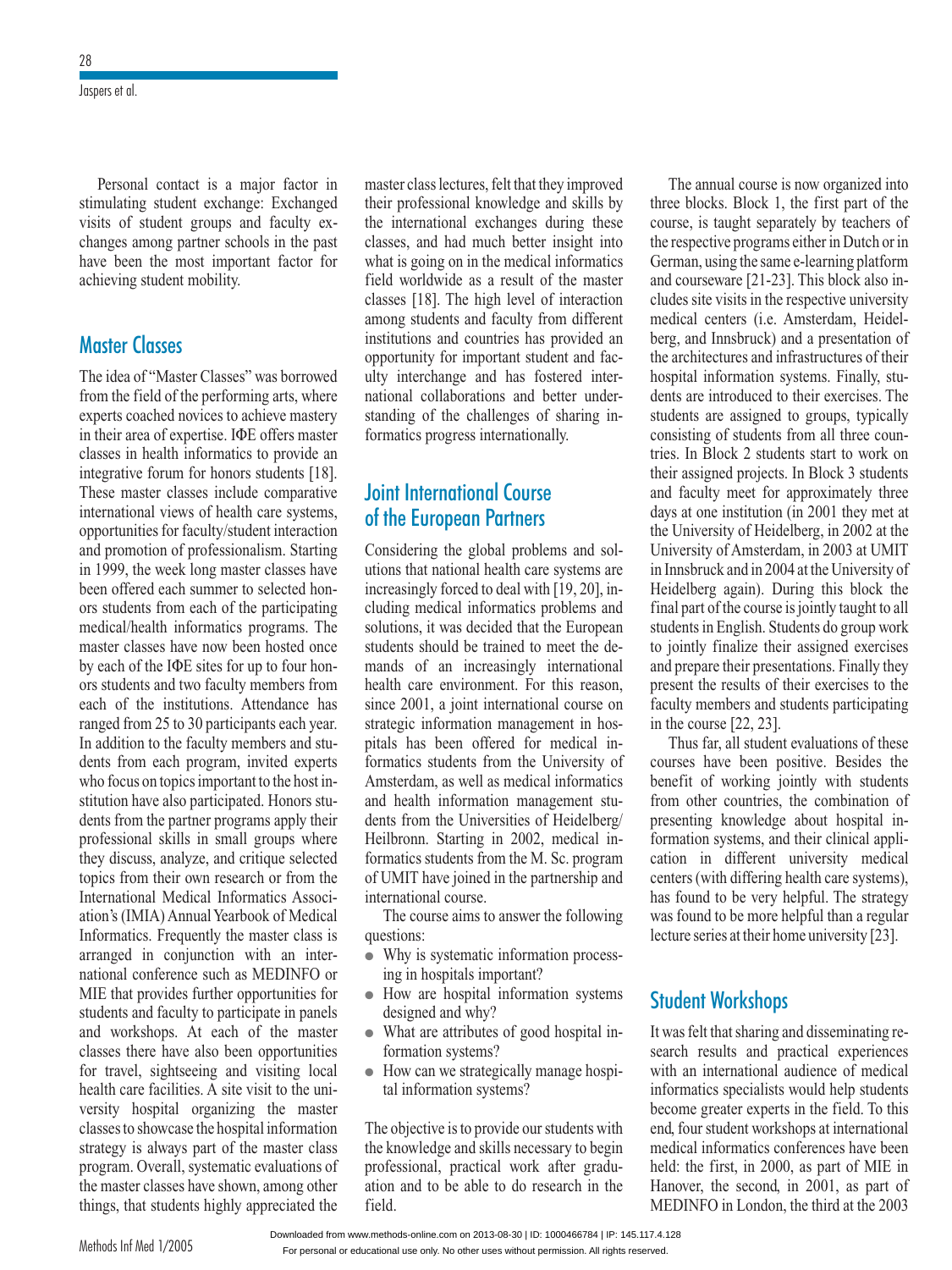Jaspers et al.

exchanged to the student exchange: Exchanged visits of students of students in the student students of students in the students of students of students in the students of the students of the students of the students of the students of the students of the students of stimulating student exchange: Exchanged Personal contact is a majo Exchanged<br>faculty ex-<br>in the past summating student exeribility. changes among partner schools in the past achieving student mobility. have been the most important factor for

### The idea of "Master**Master Classes** experts coached the coached three coaches coached three coaches coaches coached the coaches coached the coache<br>The coaches coaches coaches coaches coaches coaches coaches coach and coaches coach and the coaches coach and

 Classes" was borrowed **ter Classes**<br>dea of "Master Classes" was borrowed<br>the field of the performing arts, where ster Classes" was borrowed<br>
The performing arts, where<br>
novices to achieve mastery The idea of "Master Classes" was borrowed<br>from the field of the performing arts, where<br>experts coached novices to achieve mastery<br>in their area of expertise. IQE offers master experts coached n in field of the performing arts, where<br>coached novices to achieve mastery<br>area of expertise. IQE offers master<br>in health informatics to provide an forces to define the master<br>formatics to provide an<br>for honors students [18]. in their area of expertise. IQE offers master classes in health informatics to provide an integrative forum for honors students [18]. These master classes include comparative integrative forum for honors students [18]. alth informatics to provide an<br>orum for honors students [18].<br>r classes include comparative<br>views of health care systems. integrative forum for honors students [18].<br>These master classes include comparative<br>international views of health care systems,<br>opportunities for faculty/student interaction These master international views of health care systems, international views of health care systems,<br>opportunities for faculty/student interaction<br>and promotion of professionalism. Starting<br>in 1999, the week long master classes have and promotion of professionalism. Starting rtunities for faculty/student interaction<br>promotion of professionalism. Starting<br>99, the week long master classes have<br>offered each summer to selected honin 1999, the week long master classes have<br>
been offered each summer to selected hon-<br>
ors students from each of the participating<br>
medical/health informatics programs. The been offered each summer to selected honors students from each of the participating ffered each summer to selected hon-<br>dents from each of the participating<br>al/health informatics programs. The<br>classes have now been hosted once ors students from each of the participating<br>medical/health informatics programs. The<br>master classes have now been hosted once<br>by each of the IΦE sites for up to four honmaster classes have now been hosted once dical/health informatics programs. The<br>ster classes have now been hosted once<br>each of the IФE sites for up to four hon-<br>students and two faculty members from master classes have now been hosted once<br>by each of the IФE sites for up to four hon-<br>ors students and two faculty members from<br>each of the institutions. Attendance has by each of the Example 1942 sheets for up to bout not<br>s students and two faculty members from<br>the of the institutions. Attendance has<br>nged from 25 to 30 participants each year.<br>addition to the faculty members and stueach of the institutions. Attendance has  $\frac{d}{dx}$  ranged from each of the institutions. Attendance has<br>tranged from 25 to 30 participants each year.<br>In addition to the faculty members and stu-<br>dents from each program, invited experts m 25 to 30 participants each year.<br>
i to the faculty members and stu-<br>
in-each program, invited experts<br>
on topics important to the host inbers and stu-<br>ited experts<br>o the host in-<br>Honors stu- $\frac{1}{2}$  who focus on topic from each program, invited experts<br>
Socus on topics important to the host in-<br>
from have also participated. Honors stu-<br>
from the partner programs apply their is important to the host in-<br>participated. Honors stu-<br>ner programs apply their<br>in small groups where stitution have also participated. Honors students from the partner programs apply their<br>professional skills in small groups where<br>they discuss, analyze, and critique selected dents from the partner programs apply their<br>professional skills in small groups where<br>they discuss, analyze, and critique selected<br>topics from their own research or from the professional skills in small groups where Iscuss, analyze, and critique selected<br>
from their own research or from the<br>
Informatics Associ-<br>
(IMIA) Annual Yearbook of Medical ation's discuss, analyze, and c<br>topics from their own resea matics Associ-<br>
book of Medical<br>
master class is International Medical Informatics Associmernational Medical Informatics Associ-<br>
ation's (IMIA) Annual Yearbook of Medical<br>
Informatics. Frequently the master class is<br>
arranged in conjunction with an inter-Informatics. Frequently the master class is<br>Informatics. Frequently the master class is<br>arranged in conjunction with an inter-<br>national conference such as MEDINFO or opportunities. The inter-<br>
I in conjunction with an inter-<br>
conference such as MEDINFO or<br>
t provides further opportunities for<br>
and faculty to participate in panels national conference such a of<br>opportunities for<br>icipate in panels<br>of the master Find the provides there opportunities for<br>students and faculty to participate in panels<br>and workshops. At each of the master<br>classes there have also been opportunities and workshops. At each of the master dents and faculty to participate in panels<br>the workshops. At each of the master<br>sees there have also been opportunities<br>travel, sightseeing and visiting local and workshops. At each of the master classes there have also been opportunities<br>for travel, sightseeing and visiting local<br>health care facilities. A site visit to the unifor travel, sightseeing and visiting local there have also been opportunities<br>vel, sightseeing and visiting local<br>care facilities. A site visit to the uni-<br>hospital organizing the master for travel, sightseeing and visiting local<br>health care facilities. A site visit to the uni-<br>versity hospital organizing the master<br>classes to showcase the hospital information strategy is always part of the master<br>classes to showcase the hospital information<br>strategy is always part of the master class organizing the master<br>is part of the master class<br>systematic evaluations of strategy is always part of the master class<br>program. Overall, systematic evaluations of<br>the master classes have shown, among other art of the master class<br>stematic evaluations of<br>we shown, among other<br>highly appreciated the the master classes h<br>things, that student<br>Methods Inf Med 1/2005

class lectures, felt that they improved er class lectures, felt that they improved<br>professional knowledge and skills by master class lectures, felt that they improved<br>their professional knowledge and skills by<br>the international exchanges during these master class lectures, felt that they improved<br>ional knowledge and skills by<br>ional exchanges during these<br>had much better insight into the international exchanges during these<br>classes, and had much better insight into<br>what is going on in the medical informatics classes, and had much better insight into what is going on in the medical informatics moment and much better insight into<br>going on in the medical informatics<br>orldwide as a result of the master<br>[18]. The high level of interaction what is going on in the medical informatics<br>field worldwide as a result of the master<br>classes [18]. The high level of interaction<br>among students and faculty from different classes [18]. The high level of interaction wide as a result of the master<br>J. The high level of interaction<br>lents and faculty from different<br>and countries has provided an classes [18]. The high level of interaction<br>among students and faculty from different<br>institutions and countries has provided an<br>opportunity for important student and facamong students and and faculty from different<br>countries has provided an<br>mportant student and fac-<br>and has fostered interinstitutions and countries has provided an es has provided an<br>ant student and fac-<br>has fostered inter-<br>and better understates and has fostered inter-<br>ulty interchange and has fostered inter-<br>national collaborations and better under-<br>standing of the challenges of sharing ininty interenting that has reserved<br>national collaborations and better<br>standing of the challenges of sh<br>formatics progress internationally. standing of the challenges of sharing in-<br>formatics progress internationally.

# Julii Illichiununui Cuulse standing of the challenges of<br>formatics progress internation<br>**Joint International Course**<br>of the European Partners **national Course<br>opean Partners<br>the global problems and sol-**

**European Partners**<br>that national health care systems are<br>that national health care systems are Considering the global problems and solutions that national health care systems are<br>increasingly forced to deal with [19, 20], in-Considering the global problems and solutions that national health care systems are increasingly forced to deal with [19, 20], including medical informatics problems and utions that national health care systems are nal health care systems are<br>ed to deal with [19, 20], in-<br>informatics problems and<br>decided that the European increasingly forced to deal with [19, 20], in-<br>cluding medical informatics problems and<br>solutions, it was decided that the European<br>students should be trained to meet the decluding medical informatics problems and<br>solutions, it was decided that the European  $\frac{1}{2}$  students show Should be trained to meet the de-<br>is should be trained to meet the de-<br>is of an increasingly international<br>care environment. For this reason, bould be trained to meet the de-<br>an increasingly international<br>environment. For this reason,<br>a joint international course on mands of an increasingly international<br>health care environment. For this reason,<br>since 2001, a joint international course on<br>strategic information management in hos-<br>pitals has been offered for medical insince 2001, a joint international course on<br>strategic information management in hos-<br>pitals has been offered for medical in-<br>formatics students from the University of bitals has b<br>pitals has b been offered for medical in-<br>udents from the University of<br>as well as medical informatics information method in method in<br>tudents from the University of<br>information management sturoma<br>A from the University of<br>erdam, as well as medical informatics<br>nealth information management stu-<br>from the Universities of Heidelberg/ Amsterdam, as well as medical informatics<br>and health information management stu-<br>dents from the Universities of Heidelberg/<br>Heilbronn. Starting in 2002, medical inand health inform dents from the Universities of Heidelberg/ Heilbronn. Starting in 2002, medical inilbronn. Starting in 2002, medical in-<br>eilbronn. Starting in 2002, medical in-<br>rmatics students from the M. Sc. program<br>UMIT have ioined in the partnership and formatics students dents free joined<br>course. First from the M. Se, program<br>joined in the partnership and<br>ourse.<br>aims to answer the following international course.

The course aims to answer the following questions:

- The course aims to answer the following<br>
questions:<br>
 Why is systematic information process-<br>
ing in hospitals important?<br>
 How are hospital information systems Why is system ing in hospitals important?
- How are hospital information systems
- formation and why?<br>What are attributes<br>formation systems? designed and why?<br>
• What are attributes of good hospital information systems?<br>
• How can we strategically manage hospi-What are attrib
- What the differences of good hospital information systems?<br>• How can we strategically manage hospital information systems?<br>The objective is to provide our students with

kal information systems?<br>
e objective is to provide our students with<br>
knowledge and skills necessary to begin exteed is to provide our students with the and skills necessary to beging practical work after graduprofessional<br>Professional, continued The objective is to provide our students with<br>the knowledge and skills necessary to begin<br>professional, practical work after gradu-<br>ation and to be able to do research in the  $f_{\text{max}}$ field.

 is now organized into blocks. Block 1, the first part of the blocks. Block 1, the first part of the The annual course is now organized into<br>three blocks. Block 1, the first part of the<br>course, is taught separately by teachers of three blocks. I The annual course is now organized into<br>be blocks. Block 1, the first part of the<br>tree, is taught separately by teachers of<br>respective programs either in Dutch or in Block 1, the first part of the<br>ht separately by teachers of<br>programs either in Dutch or in<br>the same e-learning platform course, is taught separately by teachers of t separately by teachers of<br>cograms either in Dutch or in<br>he same e-learning platform<br>[21-23]. This block also inthe respect<br> $C<sub>2</sub>$ German, using the same e-learning platform<br>and courseware [21-23]. This block also in-<br>cludes site visits in the respective university occidently a same of carring platform<br>and courseware [21-23]. This block also in-<br>cludes site visits in the respective university<br>medical centers (i.e. Amsterdam, Heideleware [21-23]. This block also in-<br>e visits in the respective university<br>centers (i.e. Amsterdam, Heidel-<br>Innsbruck) and a presentation of cludes site visits in the respective university<br>medical centers (i.e. Amsterdam, Heidel-<br>berg, and Innsbruck) and a presentation of<br>the architectures and infrastructures of their berg, and Innsbruck) and a presentation of d Innsbruck) and a presentation of<br>itectures and infrastructures of their<br>information systems. Finally, stu- $\frac{1}{4}$ and Innsbruck) and a presentation of<br>chitectures and infrastructures of their<br>tal information systems. Finally, stu-<br>are introduced to their exercises. The the architectures and infrastructures of their<br>hospital information systems. Finally, stu-<br>dents are introduced to their exercises. The<br>students are assigned to groups, typically compliar information systems. Thany, starting<br>dents are introduced to their exercises. The<br>students are assigned to groups, typically<br>consisting of students from all three coun-<br>tries. In Block 2 students start to work on formation systems. Finally, stu-<br>ntroduced to their exercises. The<br>re assigned to groups, typically<br>of students from all three coun- $\frac{1}{2}$  consisting  $\frac{1}{2}$ students are assigned to groups, typically<br>consisting of students from all three coun-<br>tries. In Block 2 students start to work on of students from all three councies<br>the 2 students start to work on<br>ed projects. In Block 3 students<br>meet for approximately three tries. In Block 2 students start to work on<br>their assigned projects. In Block 3 students<br>and faculty meet for approximately three<br>days at one institution (in 2001 they met at the University meet for approximately three<br>days at one institution (in 2001 they met at<br>the University of Heidelberg, in 2002 at the days at one institution (in 2001 they met at<br>the University of Heidelberg, in 2002 at the<br>University of Amsterdam, in 2003 at UMIT days at one institution (in 2001 they met at<br>the University of Heidelberg, in 2002 at the<br>University of Amsterdam, in 2003 at UMIT<br>in Innsbruck and in 2004 at the University of the University of Heidelberg<br>University of Australian g, in 2002 at the<br>
1 2003 at UMIT<br>
the University of<br>
this block the University of A msterdam, in 2003 at UMIT<br>d in 2004 at the University of<br>in). During this block the<br>course is jointly taught to all in Innsbruck and in 2004 at the University of<br>Heidelberg again). During this block the<br>final part of the course is jointly taught to all<br>students in English. Students do group work Heidelberg again). During this block the<br>final part of the course is jointly taught to all<br>students in English. Students do group work<br>to jointly finalize their assigned exercises final part of the course is jointly taught to all students in English. Students do group work to jointly finalize their assigned exercises the results of their assigned exercises<br>the results of their exercises<br>the results of their exercises to the for jointly finalize their assigned exercises<br>and prepare their presentations. Finally they<br>present the results of their exercises to the<br>faculty members and students participating in the course from the course. Thany diverse present the results of their exercises to the faculty members and students participating in the course [22, 23].<br>Thus far, all student evaluations of these faculty members and students participating in the course  $[22, 23]$ <br>Thus for all stud

have been positive.<br>
Fax all student evaluations of these<br>
have been positive. Besides the<br>
of working jointly with students courses have been positive. Besides the nus far, all student evaluations of these<br>the combinations been positive. Besides the<br>fit of working jointly with students<br>other countries, the combination of courses have been positive. Besides the<br>benefit of working jointly with students<br>from other countries, the combination of<br>presenting knowledge about hospital information of working jointly with statements<br>from other countries, the combination of<br>presenting knowledge about hospital in-<br>formation systems, and their clinical applipresenting knowledge about hospital in-<br>formation systems, and their clinical appli-<br>cation in different university medical presenting knowledge about hospital in-<br>formation systems, and their clinical appli-<br>cation in different university medical<br>centers (with differing health care systems). formation systems, and their clinical appli-<br>different university medical<br>ith differing health care systems),<br>to be very helpful. The strategy cation in different university medical different university medical<br>ith differing health care systems),<br>to be very helpful. The strategy<br>to be more helpful than a regular centers (with differing g nearth eare systems<br>y helpful. The stratege<br>helpful than a regular<br>home university [23]. nas roune<br>was foune The very reserved to be more held<br>ries at their ho<br>Workshops

#### ItStude

**udent Workshops**<br>was felt that sharing and disseminating re-**Int Workshops**<br>Felt that sharing and disseminating re-<br>results and practical experiences It was felt that sharing a s felt that sharing and disseminating re-<br>th results and practical experiences<br>an international audience of medical ractical experiences<br>audience of medical<br>would help students with an international audience of medical results and practical experiences<br>international audience of medical<br>tics specialists would help students<br>greater experts in the field. To this with an international additioned of includents<br>informatics specialists would help students<br>become greater experts in the field. To this<br>end, four student workshops at international informatics specialists would help students<br>become greater experts in the field. To this<br>end, four student workshops at international<br>medical informatics conferences have been become greater experts in the field. To this<br>end, four student workshops at international<br>medical informatics conferences have been<br>held: the first, in 2000, as part of MIE in end, four student workshops at international<br>medical informatics conferences have been<br>held: the first, in 2000, as part of MIE in<br>Hanover, the second, in 2001, as part of held: the first, in 2000, as part of MIE in Hanover, the second, in 2001, as part of MEDINFO in London, the third at the 2003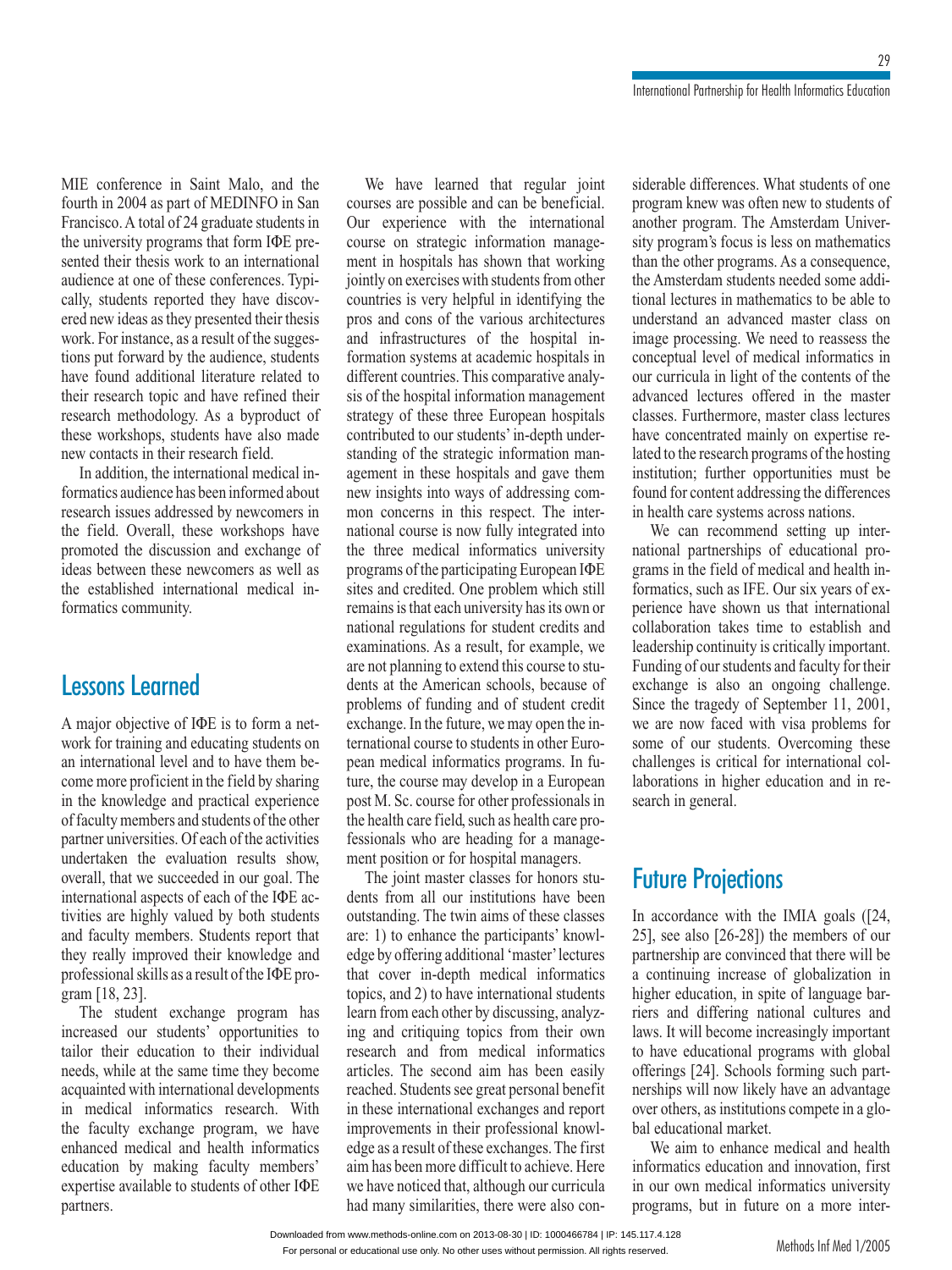Malo, and the MIE conference in Saint Malo, and the fourth in 2004 as part of MEDINFO in San<br>Francisco. A total of 24 graduate students in fourth in 2004 as part of MEDINFO in San E conference in Saint Malo, and the<br>rth in 2004 as part of MEDINFO in San<br>ncisco. A total of 24 graduate students in<br>university programs that form IФE pre-Francisco. A tot in 2004 as part of MEDINFO in San<br>sco. A total of 24 graduate students in<br>iversity programs that form IФE pre-<br>their thesis work to an international al of 24 graduate students in<br>rograms that form IФE pre-<br>sis work to an international<br>of these conferences. Typithe university  $\frac{1}{2}$ programs that form IФE pre-<br>esis work to an international<br>e of these conferences. Typi-<br>reported they have discovsented their thesis work to an international<br>audience at one of these conferences. Typi-<br>cally, students reported they have discov-<br>ered new ideas as they presented their thesis addressed<br>cally, stu nce at one of these conferences. Typistudents reported they have discoverew ideas as they presented their thesis<br>For instance, as a result of the suggesdents reported they have discovideas as they presented their thesis<br>r instance, as a result of the sugges-<br>forward by the audience, students work. For instance, as a result of the sugges-<br>tions put forward by the audience, students<br>have found additional literature related to<br>their research topic and have refined their new ideas as they presented their thesis<br>found additional literature related to<br>found additional literature related to tions put forward by the audience, students have found additional literature related to forward by the audience, students<br>and additional literature related to<br>earch topic and have refined their<br>methodology. As a byproduct of have found additional literature related to<br>their research topic and have refined their<br>research methodology. As a byproduct of<br>these workshops, students have also made their research research topic and nave formed their<br>research methodology. As a byproduct of<br>workshops, students have also made<br>contacts in their research field.<br>addition, the international medical in-Information and all these workshops, students have also made<br>new contacts in their research field.<br>In addition, the international medical in-<br>formatics audience has been informed about

new contacts in their research field.<br>In addition, the international medical inissues in their research rick.<br>ition, the international medical in-<br>saudience has been informed about<br>issues addressed by newcomers in field. Overall, these workshops have<br>field. Overall, these workshops have formatics audience has been informed about promates address these workshops have<br>discussion and exchange of<br>these newcomers as well as the field. Overall, these workshops have the field. Overall, these workshops have<br>promoted the discussion and exchange of<br>ideas between these newcomers as well as<br>the established international medical inpromoted the discuss ideas between these newcomers as well as<br>the established international medical informatics community.

### l manner<br>Leonard **S Learned**<br>objective of IΦE is to form a net-Fe<sub>2</sub>

**SONS Learned**<br>ior objective of I $\Phi$ E is to form a net-<br>for training and educating students on A major objective of IФE is to form a net-<br>work for training and educating students on<br>an international level and to have them bework for training and educating students on for objective of IDE is to form a net-<br>for training and educating students on<br>ernational level and to have them be-<br>more proficient in the field by sharing an international level and to have them beork for training and educating students on<br>international level and to have them be-<br>me more proficient in the field by sharing<br>the knowledge and practical experience an international level and to have them be-<br>come more proficient in the field by sharing<br>in the knowledge and practical experience<br>of faculty members and students of the other come more proficies in the knowledge and practical experience of faculty members and students of the other the evaluation respective<br>tembers and students of the other<br>versities. Of each of the activities<br>the evaluation results show. of faculty members and students of the other<br>partner universities. Of each of the activities<br>undertaken the evaluation results show,<br>overall, that we succeeded in our goal. The partner university<br>undertaken rsities. Of each of the activities<br>the evaluation results show,<br>we succeeded in our goal. The<br>aspects of each of the IΦE ac-If the evaluation results show,<br>the succeeded in our goal. The<br>al aspects of each of the I $\Phi$ E achiently valued by both students overall, that overall, that we succeeded in our goal. The<br>international aspects of each of the IФE ac-<br>tivities are highly valued by both students<br>and faculty members. Students report that international aspects of each of the  $I\Phi E$  acal aspects of each of the IФE achighly valued by both students<br>improved their knowledge and<br>improved their knowledge and valued by both students<br>bers. Students report that<br>wed their knowledge and<br>as a result of the IФE prothey really im<br>professional sk<br>gram [18, 23]. The student exchange program has  $T[18, 23]$ .<br>The student exchange program has  $\mu$ ioitoisitoi  $\frac{1}{T}$ 

our students' outcome that the pro-<br>
tudent exchange program has<br>
our students' opportunities to their exchange program has<br>
ased our students' opportunities to<br>
their education to their individual<br>
while at the same time they become increased our students' opportunities to extractional developments<br>international developments<br>with international developments tailor their education to their individual ilor their education to their individual<br>eds, while at the same time they become<br>quainted with international developments<br>medical informatics research. With inneeds, while at the same time they become<br>acquainted with international developments<br>in medical informatics research. With<br>the faculty exchange program, we have acquainted with international developments<br>in medical informatics research. With<br>the faculty exchange program, we have<br>enhanced medical and health informatics al informatics research. With<br>y exchange program, we have<br>medical and health informatics<br>by making faculty members' the faculty exchange program enhanced medical and health informatics<br>education by making faculty members'<br>expertise available to students of other IФE education by making faculty members' partners.

have learned that regular joint possible and can be beneficial.  $\mathbf{v}$ We have learned that regular joint<br>reses are possible and can be beneficial.<br>experience with the international courseFigure 1 and Tegunal John<br>Sare possible and can be beneficial.<br>Neglection manage-<br>on strategic information managebourses are possible and<br>Our experience with in the same possible and can be beneficial.<br>
Experience with the international<br>
e on strategic information manage-<br>
in hospitals has shown that working Francisconal<br>Formation manage-<br>hown that working  $\frac{1}{2}$ countries to is very helpful in identifying the series with students from other<br>is very helpful in identifying the ment in hospitals has shown that working<br>jointly on exercises with students from other<br>countries is very helpful in identifying the<br>pros and cons of the various architectures jointly on exercises y is very helpful in identifying the<br>
is very helpful in identifying the<br>
structures of the hospital in-<br>
systems at academic hospitals in pros and cons of the various architectures  $\frac{1}{2}$  and  $\frac{1}{2}$  infr formation systems at academic hospitals in hospital information management<br>hospital information management formation systems at academic hospitals in<br>different countries. This comparative analy-<br>sis of the hospital information management<br>strategy of these three European hospitals contributed to our students' in-depth<br>strategy of these three European hospitals<br>contributed to our students' in-depth understrategy of these three European hospitals<br>strategy of these three European hospitals<br>contributed to our students' in-depth underthree European hospitals<br>
students' in-depth under-<br>
trategic information man-<br>
hospitals and gave them contributed to our students' in-depth under-Figure 1 and the strategic information mannent in these hospitals and gave them<br>insights into ways of addressing com-<br>concerns in this respect. The inter- $\frac{1}{2}$  agement in the new insights into ways of addressing comthew insights in<br>mon-concerns is into ways of addressing com-<br>n concerns in this respect. The inter-<br>ional course is now fully integrated into<br>three medical informatics university participation and the state of the medical information into the three medical information university programs of the participating European IO course is now fully integrated into<br>
e medical informatics university<br>
so f the participating European IODE<br>
credited. One problem which still the three medical  $r_{\text{reco}}$ informatics university<br>itcipating European IODE<br>One problem which still<br>university has its own or programs of the participating European  $I\Phi E$ for problem which still<br>inversity has its own or<br>for student credits and sites and credited. One problem which still<br>remains is that each university has its own or<br>national regulations for student credits and<br>examinations. As a result, for example, we remains is that each university has its own or national regulations for student credits and examinations. As a result, for example, we nal regulations for student credits and<br>inations. As a result, for example, we<br>ot planning to extend this course to stu-<br>at the American schools, because of examinations. As a result, for example, we<br>are not planning to extend this course to stu-<br>dents at the American schools, because of<br>problems of funding and of student credit are not planning to extend this course to stu-<br>dents at the American schools, because of<br>problems of funding and of student credit<br>exchange. In the future, we may open the indents at the American schools, because of of the American sensors, oceanse of<br>lems of funding and of student credit<br>ange. In the future, we may open the in-<br>tional course to students in other Euro-<br>medical informatics programs. In fuproblems of randing and of station event<br>exchange. In the future, we may open the in-<br>ternational course to students in other Euro-<br>pean medical informatics programs. In fu-<br>ture, the course may develop in a European ternational course to students in other Euro-<br>pean medical informatics programs. In fucourse to statement in other European<br>cal informatics programs. In fu-<br>course for other professionals in pean medical informatics programs. In fu-<br>ture, the course may develop in a European<br>post M. Sc. course for other professionals in<br>the health care field, such as health care profure, the course may develop in a European<br>post M. Sc. course for other professionals in<br>the health care field, such as health care pro-<br>fessionals who are heading for a managepost M. Sc. course for other professional<br>the health care field, such as health care p<br>fessionals who are heading for a mana<br>ment position or for hospital managers. health ca mals who are heading for a manage-<br>position or for hospital managers.<br>the joint master classes for honors stu-<br>from all our institutions have been desde<br>...

niem positio The joint master classes for honors students from all our institutions have been The joint master classes for honors stu-<br>ts from all our institutions have been<br>standing. The twin aims of these classes<br>1) to enhance the participants' knowloutstanding. The twin aims of these classes<br>are: 1) to enhance the participants' knowl-<br>edge by offering additional 'master' lectures are: 1) to enhance the participants' knowledge by offering additional 'master' lectures b chance the participants know-<br>y offering additional 'master' lectures<br>over in-depth medical informatics<br>and 2) to have international students leage by offering attainmal master rectares<br>that cover in-depth medical informatics<br>topics, and 2) to have international students<br>learn from each other by discussing, analyztopics, and 2) to have international students t cover in-depth medical informatics<br>ics, and 2) to have international students<br>m from each other by discussing, analyz-<br>and critiquing topics from their own research and from medical information states.<br>
Iearn from each other by discussing, analyzing and critiquing topics from their own<br>
research and from medical informatics<br>
articles. The second aim has been easily reach hom each other<br>ing and critiquing to research and from medical informatics articles. The second aim has been easily search and from medical informatics<br>ticles. The second aim has been easily<br>ached. Students see great personal benefit<br>these international exchanges and report articles. The second aim has been easily<br>reached. Students see great personal benefit<br>in these international exchanges and report<br>improvements in their professional knowlrederica<br>in these head. Students see great personal benefit<br>tese international exchanges and report<br>ovements in their professional knowl-<br>as a result of these exchanges. The first international exchanges and report<br>ements in their professional knowl-<br>a result of these exchanges. The first<br>been more difficult to achieve. Here improvements in their professional knowledge as a result of these exchanges. The first<br>aim has been more difficult to achieve. Here<br>we have noticed that, although our curricula edge as a result of these<br> $\lim_{n \to \infty} \log \frac{1}{n}$ aim has been more difficult to achieve. Here<br>we have noticed that, although our curricula<br>had many similarities, there were also con-

differences. What students of one<br>knew was often new to students of an<br>Lihamatan e differences. What students of one<br>in knew was often new to students of<br>program. The Amsterdam Universityprable differences. What students of one<br>gram knew was often new to students of<br>ther program. The Amsterdam Univer-<br>program's focus is less on mathematics piog ram knew was often new to students of<br>her program. The Amsterdam Univer-<br>program's focus is less on mathematics<br>the other programs. As a consequence. another program. The Amsterdam Univer-<br>sity program's focus is less on mathematics<br>than the other programs. As a consequence,<br>the Amsterdam students needed some addisity program's focus is less on<br>them the other we seemed  $\Delta z$ . than the other programs. As a consequence, ntan the other programs. The a consequence,<br>the Amsterdam students needed some addi-<br>tional lectures in mathematics to be able to<br>understand an advanced master class on<br>image processing. We need to reassess the tional lectures in mathematics to be able to understand an advanced master class on image processing. We need to reassess the lerstand an advanced master class on<br>ge processing. We need to reassess the<br>ceptual level of medical informatics in<br>curricula in light of the contents of the image processing. We need to reassess the<br>conceptual level of medical informatics in<br>our curricula in light of the contents of the<br>advanced lectures offered in the master conceptual level of medical informatics in<br>our curricula in light of the contents of the<br>advanced lectures offered in the master<br>classes. Furthermore, master class lectures our curricula in light of the contents of the<br>advanced lectures offered in the master<br>classes. Furthermore, master class lectures<br>have concentrated mainly on expertise readvanced lectures offered in the master<br>classes. Furthermore, master class lectures<br>have concentrated mainly on expertise re-<br>lated to the research programs of the hosting classes. Furthermore, master class lectures<br>have concentrated mainly on expertise rerthermore, master class lectures<br>entrated mainly on expertise re-<br>research programs of the hosting<br>further opportunities must be fact the research programs of the hosting<br>
institution; further opportunities must be<br>
found for content addressing the differences<br>
in health care systems across nations. institution: further opportunities must be maturion, tuttilier opportunities must be<br>found for content addressing the differences<br>in health care systems across nations.<br>We can recommend setting up interin health care systems across nations.

rent addessing the directness<br>
e systems across nations.<br>
recommend setting up inter-<br>
therships of educational pro-<br>
field of medical and health in-We can recommend setting up international partnerships of educational programs in the field of medical and health informatics, such as IFE. Our six years of exgrams in the field of medical and health inpartnerships of educational pro-<br>the field of medical and health in-<br>s, such as IFE. Our six years of ex-<br>have shown us that international grams in the field of medical and health in-<br>formatics, such as IFE. Our six years of ex-<br>perience have shown us that international<br>collaboration takes time to establish and perience have shown us that international such as IFE. Our six years of ex-<br>ave shown us that international<br>on takes time to establish and<br>continuity is critically important. perience have shown us that international<br>collaboration takes time to establish and<br>leadership continuity is critically important.<br>Funding of our students and faculty for their eonaoora<br>leadership is also an ongoing challenge.<br>
tragedy of September 11, 2001, exchange is also an ongoing challenge.<br>exchange is also an ongoing challenge.<br>Since the tragedy of September 11, 2001,<br>we are now faced with visa problems for<br>some of our students. Overcoming these mating of our students and faculty for their<br>change is also an ongoing challenge.<br>ce the tragedy of September 11, 2001,<br>are now faced with visa problems for Since the tragedy of September 11, 2001, since the tagedy of september 11, 2001,<br>we are now faced with visa problems for<br>some of our students. Overcoming these<br>challenges is critical for international colith visa problems for<br>s. Overcoming these<br>for international col-<br>education and in resome or<br>challenge ges is critions in high challenges is critical for<br>laborations in higher edi<br>search in general.<br>**Future Proiections** 

### **uture Projections**<br>accordance with the IMIA goals ([24,  $\overline{1}$ , U

see also  $[26-28]$ ) the members of our members of our In accordance Exercise with the IMIA goals ( $[24,$  o  $[26-28]$ ) the members of our are convinced that there will be is easily also (26-28]) the members of our ship are convinced that there will be inuing increase of globalization in education, in spite of language barpartnership are convinced that there will be partnership are convinced that there will be<br>a continuing increase of globalization in<br>higher education, in spite of language bar-<br>riers and differing national cultures and a continuing increase of globalization in<br>higher education, in spite of language bar-<br>riers and differing national cultures and<br>laws. It will become increasingly important higher education, in spite of language bar-<br>riers and differing national cultures and<br>laws. It will become increasingly important<br>to have educational programs with global laws. It will become increasingly important Funding hardware carriers and<br>fill become increasingly important<br>ducational programs with global<br>[24]. Schools forming such partlaws. It will become increasingly important<br>to have educational programs with global<br>offerings [24]. Schools forming such part-<br>nerships will now likely have an advantage offerings  $[24]$ . ave educational programs with global<br>
rings [24]. Schools forming such part-<br>
hips will now likely have an advantage<br>
others, as institutions compete in a globehoors<br>bw likely<br>market. whips will now likely have an advantage<br>of others, as institutions compete in a glo-<br>educational market.<br>We aim to enhance medical and health over others, as institutions compete in a glo-<br>bal educational market.<br>We aim to enhance medical and health<br>informatics education and innovation. first bal educational market.

I educational market.<br>We aim to enhance medical and health<br>formatics education and innovation, first<br>our own medical informatics university we am n to enhance medical and health<br>s education and innovation, first<br>n medical informatics university<br>but in future on a more interormatics university<br>on a more inter-<br>Methods Inf Med 1/2005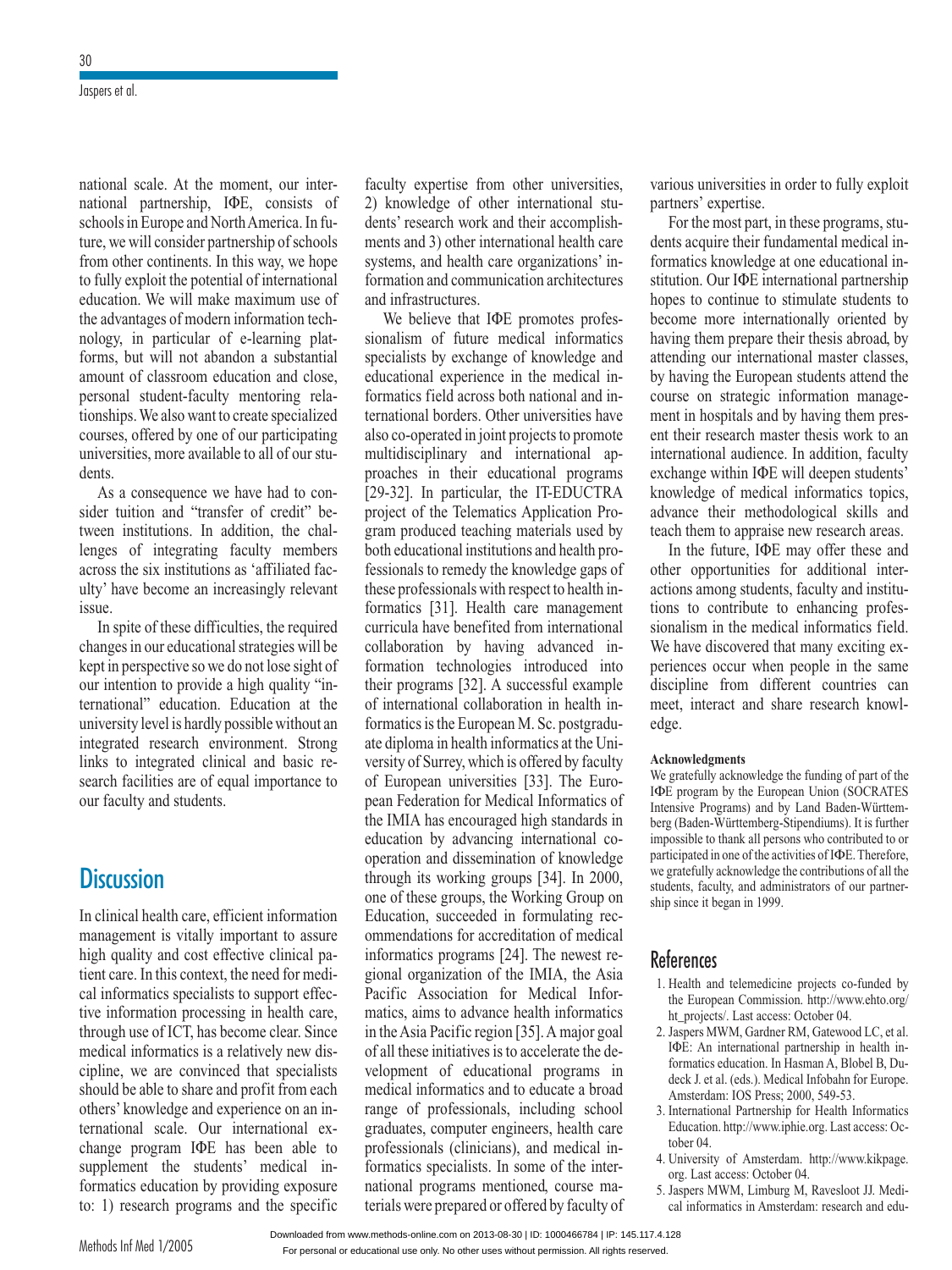At the moment, our intermment, our inter-<br>ΦE, consists of  $\frac{1}{2}$  scan will be we will be we will be a set of  $\frac{1}{2}$ national partnership, IФE, consists of consider partnership of schools.<br>In furnership of schools<br>consider partnership of schools national partnership, IФE, consists of<br>schools in Europe and North America. In fu-<br>ture, we will consider partnership of schools<br>from other continents. In this way, we hope schools in Europe and North America. In fu-<br>ture, we will consider partnership of schools<br>from other continents. In this way, we hope<br>to fully exploit the potential of international ture, we will consider partnership of schools<br>from other continents. In this way, we hope<br>to fully exploit the potential of international<br>education. We will make maximum use of to fully exploit the potential of international process from other continents. In this way, we hope<br>to fully exploit the potential of international<br>education. We will make maximum use of use of<br>a tech-<br>platcuucai<br>tha a dion. We will make maximum use of<br>vantages of modern information tech-<br>i, in particular of e-learning plat-<br>but will not abandon a substantial the advantages of modern information technology, in particular of e-learning plat-<br>forms, but will not abandon a substantial<br>amount of classroom education and close. nology, in particular of e-learning plat-<br>forms, but will not abandon a substantial<br>amount of classroom education and close,<br>personal student-faculty mentoring relaforms, but will not abandon a substantial<br>amount of classroom education and close. tionships. We also want to create specialized amount of classroom education and close,<br>personal student-faculty mentoring rela-<br>tionships. We also want to create specialized<br>courses, offered by one of our participating mortion and the mentoring rela-<br>is also want to create specialized<br>ered by one of our participating<br>more available to all of our studentified.<br>Courses, offered by one of our participating<br>universities, more available to all of our stu-<br>dents.<br>As a consequence we have had to conuniversities, more available to all of our stu-<br>sequence we have had to con-<br>and "transfer of credit" be-

dents.<br>As a consequence we have had to consider tuition and "transfer of credit" be-<br>tween institutions. In addition, the challess a contract the sider tuith a consequence we have had to con-<br>
uition and "transfer of credit" be-<br>
institutions. In addition, the chal-<br>
of integrating faculty members<br>
the six institutions as 'affiliated factween institutions. In addition, the chal-<br>lenges of integrating faculty members<br>across the six institutions as 'affiliated fac-<br>ulty' have become an increasingly relevant iviigve In spite of these difficulties, the required<br>In spite of these difficulties, the required issue.

In spite of these difficulties, the required Execution is spite of these difficulties, the required<br>ges in our educational strategies will be<br>in perspective so we do not lose sight of In spite of these difficulties, the required<br>changes in our educational strategies will be<br>kept in perspective so we do not lose sight of<br>our intention to provide a high quality "inthe examples in our cute and an strategies will be<br>the stept in perspective so we do not lose sight of<br>our intention to provide a high quality "in-<br>ternational" education. Education at the<br>university level is hardly possib ur educational strategies will be<br>bective so we do not lose sight of<br>n to provide a high quality "in-<br>education. Education at the our intention to provide a high quality "inof memories by provide a mgn quanty in<br>ternational" education. Education at the<br>university level is hardly possible without an<br>integrated research environment. Strong university level is hardly possible without an tional" education. Education at the<br>ersity level is hardly possible without an<br>rated research environment. Strong<br>to integrated clinical and basic reunversity<br>integrated Facilities are of equal importance to the property of the property of the property of the property of the property facilities are of equal importance to research env<br>tegrated clini<br>lities are of eq<br>and students. links to integra

#### In**DISCOSSIO**

**iscussion**<br>clinical health care, efficient information **n**<br>alth care, efficient information<br>is vitally important to assure r<br>high inical health care, efficient information<br>agement is vitally important to assure<br>quality and cost effective clinical pa-In the care, the context mornation<br>management is vitally important to assure<br>high quality and cost effective clinical pa-<br>tient care. In this context, the need for medi-<br>cal informatics specialists to support effechigh quality and cost effective clinical patient care. In this context, the need for medi-<br>tient care. In this context, the need for medi-<br>cal informatios specialists to support effec-<br>tive information processing in health care. cal informatics specialists to support effece. In this context, the need for medi-<br>matics specialists to support effec-<br>prmation processing in health care,<br>use of ICT, has become clear. Since cal informatics specialists to support effective information processing in health care,<br>through use of ICT, has become clear. Since<br>medical informatics is a relatively new distive information processing in health care,<br>through use of ICT, has become clear. Since<br>medical informatics is a relatively new dis-<br>cipline, we are convinced that specialists should be able to share and profit from each should be able to share and profit from each is a relatively new dis-<br>
polynomials that specialists<br>
hare and profit from each<br>
and experience on an incipline, we are convinced that specialists<br>should be able to share and profit from each<br>others' knowledge and experience on an in-<br>ternational scale. Our international exothers' knowledge and experience on an inbe able to share and profit from each<br>knowledge and experience on an in-<br>nnal scale. Our international ex-<br>program IФE has been able to supplements knowledge a<br>ternational scale. change program  $I\Phi E$  has been able to by the has been able to<br>tudents' medical in-<br>by providing exposure change program IQDE has been able to<br>supplement the students' medical in-<br>formatics education by providing exposure<br>to: 1) research programs and the specific formatics education<br>to: 1) research pro<br>Methods Inf Med 1/2005

 expertise from other universities, culty expertise from other universities,<br>knowledge of other international students<br>Considered research se from other universities,<br>of other international stu-<br>work and their accomplishfaculty expertise from other universities,<br>2) knowledge of other international stu-<br>dents' research work and their accomplish-<br>ments and 3) other international health care 2) knowledge of other international stu-<br>dents' research work and their accomplish-<br>ments and 3) other international health care<br>systems, and health care organizations' indents' research work and their accomplish-<br>ments and 3) other international health care<br>systems, and health care organizations' in-<br>formation and communication architectures ments and 3) other  $\frac{1}{2}$ The terms, and health care organizations' in-<br>mation and communication architectures<br>and infrastructures.<br>We believe that IΦE promotes profesand infrastructures.

tructures.<br>
tructures.<br>
lieve that IФE promotes profes-<br>
of future medical informatics Solution and anti-<br>Specialists by exchange of knowledge and<br>specialists by exchange of knowledge and  $\frac{1}{2}$  sionalism of we believe that the promotes professionalism of future medical informatics<br>specialists by exchange of knowledge and<br>educational experience in the medical infuture medical informatics<br>exchange of knowledge and<br>perience in the medical in-<br>across both national and inange of knowledge and<br>nnce in the medical in-<br>ss both national and in-<br>Other universities have Formatics field across both national and in-<br>ternational borders. Other universities have<br>also co-operated in joint projects to promote<br>multidisciplinary and international apcational experience in the medical in-<br>natics field across both national and in-<br>ational borders. Other universities have<br>co-operated in joint projects to promote ternational borders. Other universities have also co-operated in joint projects to promote in the directional projects to promote<br>iplinary and international ap-<br>in their educational programs multidisciplinary and international approaches in their educational programs [29-32]. In particular, the IT-EDUCTRA project of the Telematics Application Proproduced in their catedronal programs<br>[29-32]. In particular, the IT-EDUCTRA<br>project of the Telematics Application Pro-<br>gram produced teaching materials used by project of the Telematics Application Pro-S2]. In particular, the IT-EDUCTRA<br>ect of the Telematics Application Pro-<br>1 produced teaching materials used by<br>educational institutions and health professionals to remember of the knowledge gaps of<br>the ducational institutions and health pro-<br>fessionals to remedy the knowledge gaps of both educational institutions and health pro-<br>fessionals to remedy the knowledge gaps of<br>these professionals with respect to health in-I institutions and health pro-<br>hedy the knowledge gaps of<br>als with respect to health in-<br>Health care management fessionals to remedy the knowledge gaps of<br>these professionals with respect to health in-<br>formatics [31]. Health care management<br>curricula have benefited from international collaboration to by having advanced in-<br>the benefited from international<br>by having advanced informationthe main of the main of the main of the main of the main of the main of the main of the main technologies introduced into  $\frac{1}{11}$ cula have benefited from international<br>boration by having advanced in-<br>ation technologies introduced into<br>programs [32]. A successful example collaboration by having advanced information technologies introduced into<br>their programs [32]. A successful example<br>of international collaboration in health information tec Francisco metallication<br>
their programs [32]. A successful example<br>
of international collaboration in health in-<br>
formatics is the European M. Sc. postgradu-<br>
ate diploma in health informatics at the Uniof international collaboration in health in-<br>formatics is the European M. Sc. postgradurnational collaboration in health in-<br>ics is the European M. Sc. postgradu-<br>loma in health informatics at the Uni-<br>of Surrey, which is offered by faculty Formates is the European M. Se. postgrada<br>ate diploma in health informatics at the Uni-<br>versity of Surrey, which is offered by faculty<br>of Euronean universities [33]. The Euroreastly of Surrey, which is offered by faculty<br>of European universities [33]. The Euro-<br>pean Federation for Medical Informatics of<br>the IMIA has encouraged high standards in of European universities [33]. The Euroof European universities [33]. The Euro-<br>pean Federation for Medical Informatics of<br>the IMIA has encouraged high standards in<br>education by advancing international copean Federation for Medical Informatics of<br>the IMIA has encouraged high standards in<br>education by advancing international co-<br>operation and dissemination of knowledge education by advancing international cois working international commonly advancing international commonly advancing international commonly international commonly served. operation by devance<br>operation and dissemi cation by advancing international co-<br>pration and dissemination of knowledge<br>ugh its working groups [34]. In 2000,<br>of these groups, the Working Group on roups [34]. In 2000,<br>roups [34]. In 2000,<br>in formulating recmodgin its working groups [24]. In 2000,<br>one of these groups, the Working Group on<br>Education, succeeded in formulating rec-<br>ommendations for accreditation of medical orking Group on<br>ormulating rec-<br>ation of medical<br>The newest re-Education, succeeded in formulating recommendations for accreditation of medical informatics programs [24]. The newest regional organization of the IMIA, the Asia ommendations for accreditation of medical<br>informatics programs [24]. The newest re-<br>gional organization of the IMIA, the Asia<br>Pacific Association for Medical Informiorimates programs  $[2]$ ; The newest regional organization of the IMIA, the Asia Pacific Association for Medical Informatics, aims to advance health informatics in the Asia Pacific region  $[35]$ . A major goal informatics programs [24]. The newest re-Pacific Association for Medical Infor-Pacific Association for Medical Informatics, aims to advance health informatics<br>in the Asia Pacific region [35]. A major goal<br>of all these initiatives is to accelerate the dein the Asia Pacific region [35]. A major goal ns to advance health informatics<br>Pacific region [35]. A major goal<br>initiatives is to accelerate the de-<br>of educational programs in m moral<br>. c . 11 . 1. sia Pacific region [35]. A major goal<br>see initiatives is to accelerate the de-<br>ent of educational programs in<br>informatics and to educate a broad ran these initiatives<br>velopment of educ ment of educational programs in<br>al informatics and to educate a broad<br>of professionals, including school ational programs<br>and to educate a broad<br>als, including school<br>engineers, health care medical informatics and to educate a broad<br>range of professionals, including school<br>graduates, computer engineers, health care<br>professionals (clinicians), and medical inrange of professionals, inclu s, health care<br>medical in-<br>of the intergraduates, computer engineers, health care dare<br>l in-<br>ma $f_{\text{max}}$ formatics specialists. In some of the international programs mentioned, course materials were prepared or offered by faculty of

 universities in order to fully exploit For the universities in order to fully exploit there's' expertise.<br>For the most part, in these programs, stupartners' expertise. acquire is in order to fully exploit<br>
res' expertise.<br>
r the most part, in these programs, stu-<br>
acquire their fundamental medical in-

in these programs, stu-<br>ndamental medical in-<br>at one educational in-For the most part, in these programs, students acquire their fundamental medical informatics knowledge at one educational institution. Our IФE international partnership dents acquire their randamental included in<br>lige at one educational in-<br>international partnership<br>to stimulate students to formatics knowledge at one educational institution. Our IФE international partnership<br>hopes to continue to stimulate students to<br>become more internationally oriented by hopes to continue to stimulate students to to continue to stimulate students to<br>the more internationally oriented by<br>them prepare their thesis abroad, by hopes to continue to stimulate students to<br>become more internationally oriented by<br>having them prepare their thesis abroad, by<br>attending our international master classes. having them prepare their thesis abroad, by wing them prepare their thesis abroad, by<br>ending our international master classes,<br>having the European students attend the refluxing the strategic them them assessed and the strategic information manage-<br>the course on strategic information manage-<br>ment in hospitals and by having them presment their mental master classes,<br>by having the European students attend the<br>course on strategic information manage-<br>ment in hospitals and by having them pres-<br>ent their research master thesis work to an course on strategic information management in hospitals and by having them presrategic information manage<br>itals and by having them pres-<br>arch master thesis work to an<br>audience. In addition, faculty ment in hospitals and by having them present their research master thesis work to an international audience. In addition, faculty exchange within IΦE will deepen students' ent their research search master thesis work to an<br>al audience. In addition, faculty<br>vithin IФE will deepen students'<br>of medical informatics tonics. udience. In addition, faculty<br>in IФE will deepen students'<br>medical informatics topics,<br>methodological skills and exchange within IФE will deepen students<br>knowledge of medical informatics topics<br>advance their methodological skills and<br>teach them to appraise new research areas. by by we depend of medical informatics topics,<br>In the future, IQE may research areas.<br>In the future, IQE may offer these and teach them to appraise new reset

them to appraise new research areas.<br>
the future, IQE may offer these and<br>
opportunities for additional inter-<br>
institu-<br>
and instituother opportunities for additional interto contribute to enhancing professional<br>terms among students, faculty and institu-<br>to contribute to enhancing profesother opportunities for additional inter-<br>actions among students, faculty and institu-<br>tions to contribute to enhancing profes-<br>sionalism in the medical informatics field. actions among students, faculty and institu-<br>tions to contribute to enhancing profes-<br>sionalism in the medical informatics field.<br>We have discovered that many exciting extions to contribute to enhancing profes-<br>sionalism in the medical informatics field.<br>We have discovered that many exciting ex-<br>periences occur when people in the same sionarism in the from different mornaliss red.<br>
iscovered that many exciting ex-<br>
occur when people in the same<br>
from different countries can<br>
pract and share research knowldiscipline from different countries can edge. Wege.<br>knowledgments<br>gratefully acknowledge the funding of part of the

### Acknowledgments

**Acknowledgments**<br>We gratefully acknowledge the funding of part of the<br>ΦE program by the European Union (SOCRATES Intensive Programs<br>
Intensive Program by the European Union (SOCRATES)<br>
Intensive Programs) and by Land Baden-Württemparticipated by Early Battle Battle Williams<br>berg (Baden-Württemberg-Stipendiums). It is further IФE program by the European Union (SOCRATES<br>Intensive Programs) and by Land Baden-Württem-<br>berg (Baden-Württemberg-Stipendiums). It is further<br>impossible to thank all persons who contributed to or in our of the activities of the activities of the activities of IΦE.<br>The of thank all persons who contributed to or<br>in one of the activities of IΦE. Therefore, being isolator watercolour supersons who contributed to or<br>participated in one of the activities of IOE. Therefore,<br>we gratefully acknowledge the contributions of all the mpossion co unant an periodic more interesting that controlled in one of the activities of IOE. Therefore, we gratefully acknowledge the contributions of all the students. faculty, and administrators of our partnerparticipated in one of the act<br>we gratefully acknowledge t<br>students, faculty, and admi<br>ship since it began in 1999. students, faculty, and administrators of our partner-

### **References**

- ferences<br>
Health and telemedicine projects co-funded by<br>
the European Commission. http://www.ehto.org/  $h = h_1 h_2$ . Health and telemedicine projects co-funded by<br>the European Commission. http://www.ehto.org/<br>ht\_projects/. Last access: October 04.<br>Jaspers MWM. Gardner RM. Gatewood LC, et al.  $\ddot{\phantom{0}}$ ht projects/. Last access: October 04.
- he Lucipects/. Last access: October 04.<br>
aspers MWM, Gardner RM, Gatewood LC, et al.<br>
ΦΕ: An international partnership in health infor the process. The Magnets MWM, Gardner RM, Gatewood LC, et al.<br>10 E: An international partnership in health in-<br>formatics education. In Hasman A, Blobel B, Dudeckamines.com<br>IOS: An interna From the alternational partnership in health in-<br>An international partnership in health in-<br>atics education. In Hasman A, Blobel B, Du-<br>J. et al. (eds.). Medical Infobahn for Europe. on. In Hasman A, Blo<br>
). Medical Infobahn<br>
Press: 2000, 549-53. deck J. et al. (eds.). Medical Infobahn for Europe. Amsterdam: IOS Press; 2000, 549-53. tober<br>Letten
- http://www.iphie.org. Last accession-<br>al-Partnership for Health Informatics<br>http://www.iphie.org. Last access: Oc-Finderational Partnership for Health Informatics<br>
Education. http://www.iphie.org. Last access: Oc-<br>
tober 04.<br>
University of Amsterdam. http://www.kikpage.  $\cdot$  $L$ uu
- edition. International results.<br>
I d4.<br>
Last access: October 04. tober 04.<br>4. University of Amsterdam. http://www.kikpage.<br>org. Last access: October 04.<br>5. Jaspers MWM. Limburg M. Ravesloot JJ. Mediorg. Last access: October 04.
- 5. Jaspers MWM, Limburg M, Ravesloot JJ. Medi-<br>cal informatics in Amsterdam: research and edu-